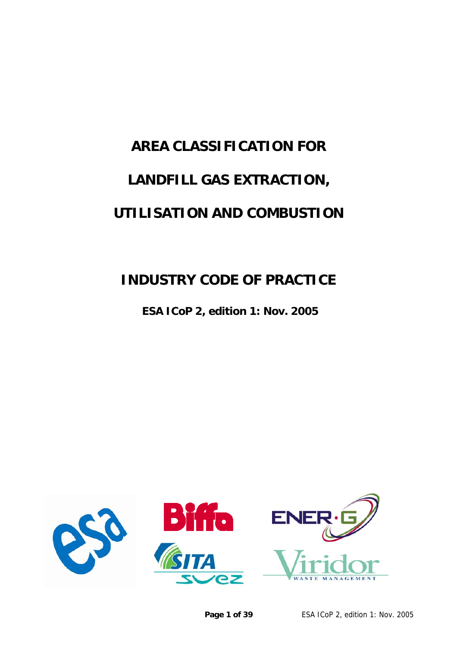# <span id="page-0-0"></span>**AREA CLASSIFICATION FOR LANDFILL GAS EXTRACTION, UTILISATION AND COMBUSTION**

## **INDUSTRY CODE OF PRACTICE**

 **ESA ICoP 2, edition 1: Nov. 2005** 

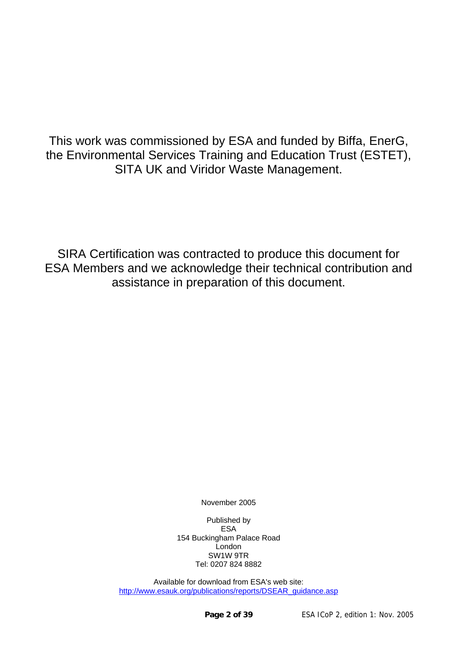This work was commissioned by ESA and funded by Biffa, EnerG, the Environmental Services Training and Education Trust (ESTET), SITA UK and Viridor Waste Management.

SIRA Certification was contracted to produce this document for ESA Members and we acknowledge their technical contribution and assistance in preparation of this document.

November 2005

Published by ESA 154 Buckingham Palace Road London SW1W 9TR Tel: 0207 824 8882

Available for download from ESA's web site: [http://www.esauk.org/publications/reports/DSEAR\\_guidance.asp](http://www.esauk.org/publications/reports/DSEAR_guidance.asp)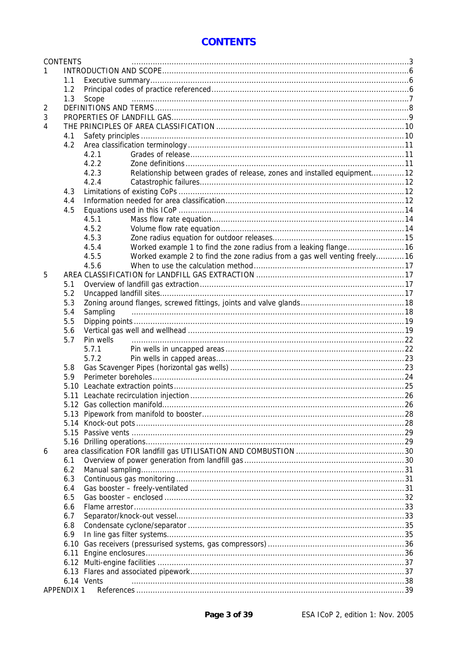#### **CONTENTS**

<span id="page-2-0"></span>

|   | <b>CONTENTS</b>   |                                                                                    |  |  |  |  |  |  |
|---|-------------------|------------------------------------------------------------------------------------|--|--|--|--|--|--|
|   |                   |                                                                                    |  |  |  |  |  |  |
|   | 1.1               |                                                                                    |  |  |  |  |  |  |
|   | 1.2               |                                                                                    |  |  |  |  |  |  |
|   | 1.3               | Scope                                                                              |  |  |  |  |  |  |
| 2 |                   |                                                                                    |  |  |  |  |  |  |
| 3 |                   |                                                                                    |  |  |  |  |  |  |
| 4 |                   |                                                                                    |  |  |  |  |  |  |
|   | 4.1               |                                                                                    |  |  |  |  |  |  |
|   | 4.2               |                                                                                    |  |  |  |  |  |  |
|   |                   | 4.2.1                                                                              |  |  |  |  |  |  |
|   |                   | 4.2.2                                                                              |  |  |  |  |  |  |
|   |                   | Relationship between grades of release, zones and installed equipment12<br>4.2.3   |  |  |  |  |  |  |
|   |                   | 4.2.4                                                                              |  |  |  |  |  |  |
|   | 4.3               |                                                                                    |  |  |  |  |  |  |
|   | 4.4               |                                                                                    |  |  |  |  |  |  |
|   | 4.5               |                                                                                    |  |  |  |  |  |  |
|   |                   | 4.5.1                                                                              |  |  |  |  |  |  |
|   |                   | 4.5.2                                                                              |  |  |  |  |  |  |
|   |                   | 4.5.3                                                                              |  |  |  |  |  |  |
|   |                   | 4.5.4<br>Worked example 1 to find the zone radius from a leaking flange16          |  |  |  |  |  |  |
|   |                   | Worked example 2 to find the zone radius from a gas well venting freely16<br>4.5.5 |  |  |  |  |  |  |
|   |                   | 4.5.6                                                                              |  |  |  |  |  |  |
| 5 |                   |                                                                                    |  |  |  |  |  |  |
|   | 5.1               |                                                                                    |  |  |  |  |  |  |
|   | 5.2               |                                                                                    |  |  |  |  |  |  |
|   | 5.3               |                                                                                    |  |  |  |  |  |  |
|   | 5.4               | Sampling                                                                           |  |  |  |  |  |  |
|   | 5.5               |                                                                                    |  |  |  |  |  |  |
|   | 5.6               |                                                                                    |  |  |  |  |  |  |
|   | 5.7               | Pin wells                                                                          |  |  |  |  |  |  |
|   |                   | 5.7.1                                                                              |  |  |  |  |  |  |
|   |                   | 5.7.2                                                                              |  |  |  |  |  |  |
|   | 5.8               |                                                                                    |  |  |  |  |  |  |
|   | 5.9               |                                                                                    |  |  |  |  |  |  |
|   |                   |                                                                                    |  |  |  |  |  |  |
|   |                   |                                                                                    |  |  |  |  |  |  |
|   |                   |                                                                                    |  |  |  |  |  |  |
|   |                   |                                                                                    |  |  |  |  |  |  |
|   |                   |                                                                                    |  |  |  |  |  |  |
|   |                   |                                                                                    |  |  |  |  |  |  |
|   |                   |                                                                                    |  |  |  |  |  |  |
|   |                   |                                                                                    |  |  |  |  |  |  |
| 6 |                   |                                                                                    |  |  |  |  |  |  |
|   | 6.1               |                                                                                    |  |  |  |  |  |  |
|   | 6.2               |                                                                                    |  |  |  |  |  |  |
|   | 6.3               |                                                                                    |  |  |  |  |  |  |
|   | 6.4               |                                                                                    |  |  |  |  |  |  |
|   | 6.5               |                                                                                    |  |  |  |  |  |  |
|   | 6.6               |                                                                                    |  |  |  |  |  |  |
|   | 6.7               |                                                                                    |  |  |  |  |  |  |
|   | 6.8               |                                                                                    |  |  |  |  |  |  |
|   | 6.9               |                                                                                    |  |  |  |  |  |  |
|   | 6.10              |                                                                                    |  |  |  |  |  |  |
|   | 6.11              |                                                                                    |  |  |  |  |  |  |
|   | 6.12              |                                                                                    |  |  |  |  |  |  |
|   |                   |                                                                                    |  |  |  |  |  |  |
|   |                   | 6.14 Vents                                                                         |  |  |  |  |  |  |
|   | <b>APPENDIX 1</b> |                                                                                    |  |  |  |  |  |  |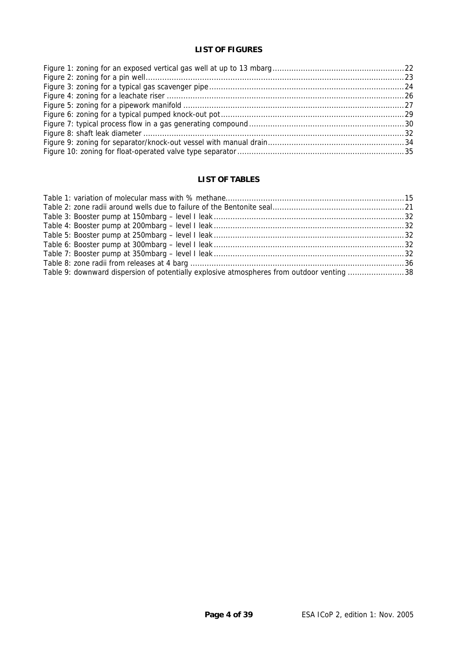#### **LIST OF FIGURES**

#### **LIST OF TABLES**

| Table 9: downward dispersion of potentially explosive atmospheres from outdoor venting 38 |  |
|-------------------------------------------------------------------------------------------|--|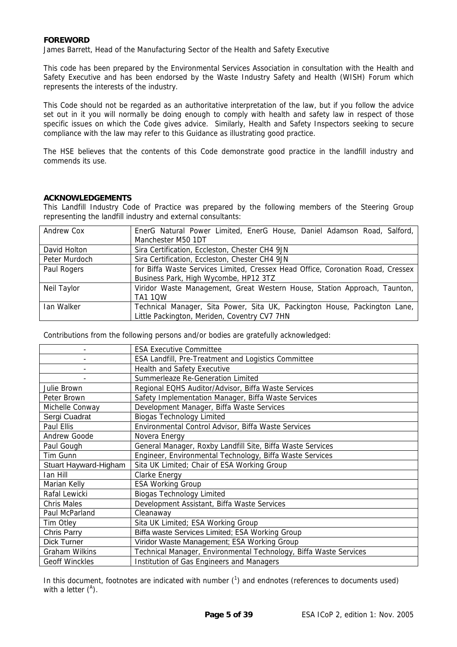#### **FOREWORD**

James Barrett, Head of the Manufacturing Sector of the Health and Safety Executive

This code has been prepared by the Environmental Services Association in consultation with the Health and Safety Executive and has been endorsed by the Waste Industry Safety and Health (WISH) Forum which represents the interests of the industry.

This Code should not be regarded as an authoritative interpretation of the law, but if you follow the advice set out in it you will normally be doing enough to comply with health and safety law in respect of those specific issues on which the Code gives advice. Similarly, Health and Safety Inspectors seeking to secure compliance with the law may refer to this Guidance as illustrating good practice.

The HSE believes that the contents of this Code demonstrate good practice in the landfill industry and commends its use.

#### **ACKNOWLEDGEMENTS**

This Landfill Industry Code of Practice was prepared by the following members of the Steering Group representing the landfill industry and external consultants:

| Andrew Cox    | EnerG Natural Power Limited, EnerG House, Daniel Adamson Road, Salford,<br>Manchester M50 1DT |
|---------------|-----------------------------------------------------------------------------------------------|
| David Holton  | Sira Certification, Eccleston, Chester CH4 9JN                                                |
| Peter Murdoch | Sira Certification, Eccleston, Chester CH4 9JN                                                |
| Paul Rogers   | for Biffa Waste Services Limited, Cressex Head Office, Coronation Road, Cressex               |
|               | Business Park, High Wycombe, HP12 3TZ                                                         |
| Neil Taylor   | Viridor Waste Management, Great Western House, Station Approach, Taunton,                     |
|               | <b>TA1 10W</b>                                                                                |
| Ian Walker    | Technical Manager, Sita Power, Sita UK, Packington House, Packington Lane,                    |
|               | Little Packington, Meriden, Coventry CV7 7HN                                                  |

Contributions from the following persons and/or bodies are gratefully acknowledged:

|                       | <b>ESA Executive Committee</b>                                    |
|-----------------------|-------------------------------------------------------------------|
|                       | <b>ESA Landfill, Pre-Treatment and Logistics Committee</b>        |
|                       | Health and Safety Executive                                       |
|                       | Summerleaze Re-Generation Limited                                 |
| Julie Brown           | Regional EQHS Auditor/Advisor, Biffa Waste Services               |
| Peter Brown           | Safety Implementation Manager, Biffa Waste Services               |
| Michelle Conway       | Development Manager, Biffa Waste Services                         |
| Sergi Cuadrat         | <b>Biogas Technology Limited</b>                                  |
| Paul Ellis            | Environmental Control Advisor, Biffa Waste Services               |
| Andrew Goode          | Novera Energy                                                     |
| Paul Gough            | General Manager, Roxby Landfill Site, Biffa Waste Services        |
| Tim Gunn              | Engineer, Environmental Technology, Biffa Waste Services          |
| Stuart Hayward-Higham | Sita UK Limited; Chair of ESA Working Group                       |
| Ian Hill              | Clarke Energy                                                     |
| Marian Kelly          | <b>ESA Working Group</b>                                          |
| Rafal Lewicki         | <b>Biogas Technology Limited</b>                                  |
| <b>Chris Males</b>    | Development Assistant, Biffa Waste Services                       |
| Paul McParland        | Cleanaway                                                         |
| Tim Otley             | Sita UK Limited; ESA Working Group                                |
| Chris Parry           | Biffa waste Services Limited; ESA Working Group                   |
| Dick Turner           | Viridor Waste Management; ESA Working Group                       |
| <b>Graham Wilkins</b> | Technical Manager, Environmental Technology, Biffa Waste Services |
| <b>Geoff Winckles</b> | Institution of Gas Engineers and Managers                         |

In this document, footnotes are indicated with number  $(1)$  and endnotes (references to documents used) with a letter  $(^{A})$ .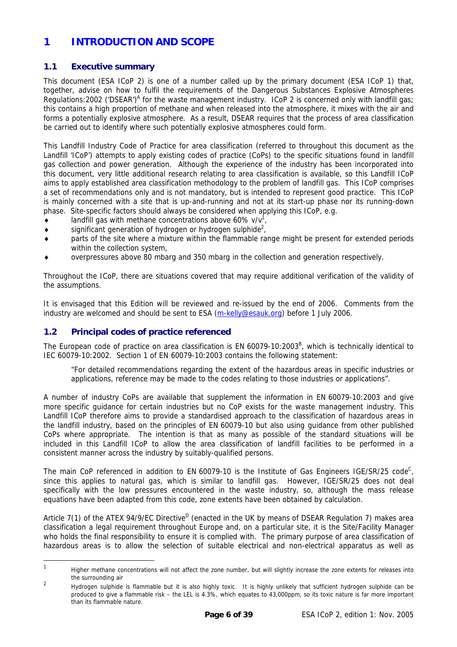#### <span id="page-5-0"></span>**1 INTRODUCTION AND SCOPE**

#### **1.1 Executive summary**

This document (ESA ICoP 2) is one of a number called up by the primary document (ESA ICoP 1) that, together, advise on how to fulfil the requirements of the Dangerous Substances Explosive Atmospheres Regulations:2002 ('DSE[A](#page-38-1)R')<sup>A</sup> for the waste management industry. ICoP 2 is concerned only with landfill gas; this contains a high proportion of methane and when released into the atmosphere, it mixes with the air and forms a potentially explosive atmosphere. As a result, DSEAR requires that the process of area classification be carried out to identify where such potentially explosive atmospheres could form.

This Landfill Industry Code of Practice for area classification (referred to throughout this document as the Landfill 'ICoP') attempts to apply existing codes of practice (CoPs) to the specific situations found in landfill gas collection and power generation. Although the experience of the industry has been incorporated into this document, very little additional research relating to area classification is available, so this Landfill ICoP aims to apply established area classification methodology to the problem of landfill gas. This ICoP comprises a set of recommendations only and is not mandatory, but is intended to represent good practice. This ICoP is mainly concerned with a site that is up-and-running and not at its start-up phase nor its running-down phase. Site-specific factors should always be considered when applying this ICoP, e.g.

- $\bullet$  landfill gas with methane concentrations above 60% v/v<sup>1</sup>,
- $\bullet$  significant generation of hydrogen or hydrogen sulphide<sup>2</sup>,
- ♦ parts of the site where a mixture within the flammable range might be present for extended periods within the collection system,
- overpressures above 80 mbarg and 350 mbarg in the collection and generation respectively.

Throughout the ICoP, there are situations covered that may require additional verification of the validity of the assumptions.

It is envisaged that this Edition will be reviewed and re-issued by the end of 2006. Comments from the industry are welcomed and should be sent to ESA [\(m-kelly@esauk.org](mailto:m-kelly@esauk.org)) before 1 July 2006.

#### **1.2 Principal codes of practice referenced**

The European code of practice on area classification is EN 60079-10:2003<sup>[B](#page-38-2)</sup>, which is technically identical to IEC 60079-10:2002. Section 1 of EN 60079-10:2003 contains the following statement:

"For detailed recommendations regarding the extent of the hazardous areas in specific industries or applications, reference may be made to the codes relating to those industries or applications".

A number of industry CoPs are available that supplement the information in EN 60079-10:2003 and give more specific guidance for certain industries but no CoP exists for the waste management industry. This Landfill ICoP therefore aims to provide a standardised approach to the classification of hazardous areas in the landfill industry, based on the principles of EN 60079-10 but also using guidance from other published CoPs where appropriate. The intention is that as many as possible of the standard situations will be included in this Landfill ICoP to allow the area classification of landfill facilities to be performed in a consistent manner across the industry by suitably-qualified persons.

The main CoP referenced in addition to EN 60079-10 is the Institute of Gas Engineers IGE/SR/25 code<sup>C</sup>, since this applies to natural gas, which is similar to landfill gas. However, IGE/SR/25 does not deal specifically with the low pressures encountered in the waste industry, so, although the mass release equations have been adapted from this code, zone extents have been obtained by calculation.

Article 7(1) of the ATEX 94/9/EC [D](#page-38-4)irective<sup>D</sup> (enacted in the UK by means of DSEAR Regulation 7) makes area classification a legal requirement throughout Europe and, on a particular site, it is the Site/Facility Manager who holds the final responsibility to ensure it is complied with. The primary purpose of area classification of hazardous areas is to allow the selection of suitable electrical and non-electrical apparatus as well as

<span id="page-5-1"></span><sup>|&</sup>lt;br>1 Higher methane concentrations will not affect the zone number, but will slightly increase the zone extents for releases into the surrounding air

<span id="page-5-2"></span> $\overline{2}$  Hydrogen sulphide is flammable but it is also highly toxic. It is highly unlikely that sufficient hydrogen sulphide can be produced to give a flammable risk – the LEL is 4.3%, which equates to 43,000ppm, so its toxic nature is far more important than its flammable nature.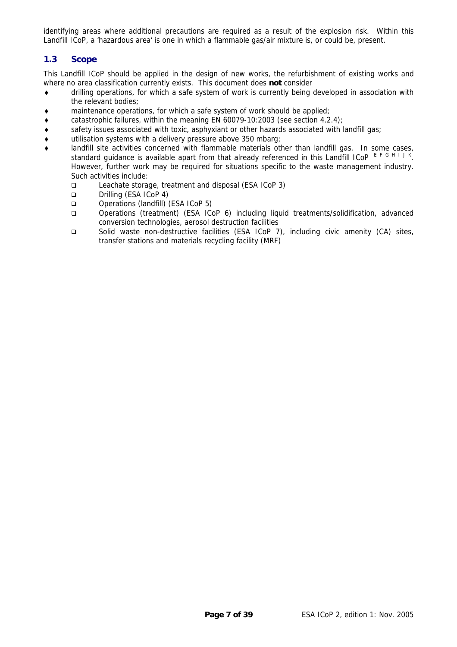<span id="page-6-0"></span>identifying areas where additional precautions are required as a result of the explosion risk. Within this Landfill ICoP, a 'hazardous area' is one in which a flammable gas/air mixture is, or could be, present.

#### **1.3 Scope**

This Landfill ICoP should be applied in the design of new works, the refurbishment of existing works and where no area classification currently exists. This document does **not** consider

- ♦ drilling operations, for which a safe system of work is currently being developed in association with the relevant bodies;
- ♦ maintenance operations, for which a safe system of work should be applied;
- $\bullet$  catastrophic failures, within the meaning EN 60079-10:2003 (see section [4.2.4\)](#page-11-1);
- ♦ safety issues associated with toxic, asphyxiant or other hazards associated with landfill gas;
- ♦ utilisation systems with a delivery pressure above 350 mbarg;
- landfill site activities concerned with flammable materials other than landfill gas. In some cases, standard guidance is available apart from that already referenced in this Landfill ICoP [E](#page-38-5)[F](#page-38-6)[G](#page-38-7)[H](#page-38-8)[I](#page-38-9)[J](#page-38-10)[K](#page-38-11). However, further work may be required for situations specific to the waste management industry. Such activities include:
	- Leachate storage, treatment and disposal (ESA ICoP 3)
	- Drilling (ESA ICoP 4)
	- □ Operations (landfill) (ESA ICoP 5)
	- Operations (treatment) (ESA ICoP 6) including liquid treatments/solidification, advanced conversion technologies, aerosol destruction facilities
	- Solid waste non-destructive facilities (ESA ICoP 7), including civic amenity (CA) sites, transfer stations and materials recycling facility (MRF)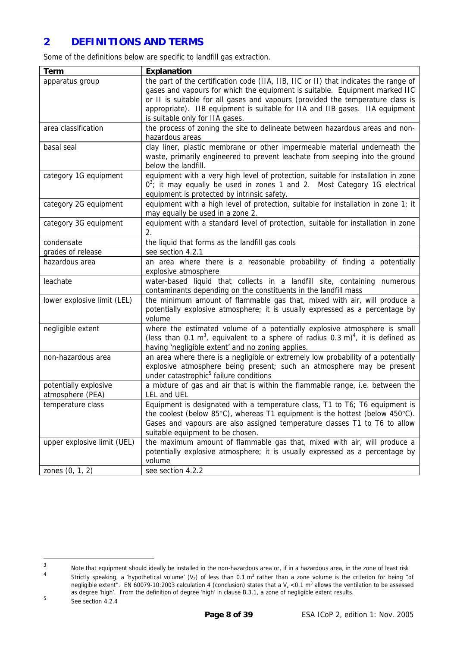#### <span id="page-7-0"></span>**2 DEFINITIONS AND TERMS**

Some of the definitions below are specific to landfill gas extraction.

| <b>Term</b>                               | <b>Explanation</b>                                                                                                                                                                                                                                                                                                                                                       |
|-------------------------------------------|--------------------------------------------------------------------------------------------------------------------------------------------------------------------------------------------------------------------------------------------------------------------------------------------------------------------------------------------------------------------------|
| apparatus group                           | the part of the certification code (IIA, IIB, IIC or II) that indicates the range of<br>gases and vapours for which the equipment is suitable. Equipment marked IIC<br>or II is suitable for all gases and vapours (provided the temperature class is<br>appropriate). IIB equipment is suitable for IIA and IIB gases. IIA equipment<br>is suitable only for IIA gases. |
| area classification                       | the process of zoning the site to delineate between hazardous areas and non-<br>hazardous areas                                                                                                                                                                                                                                                                          |
| basal seal                                | clay liner, plastic membrane or other impermeable material underneath the<br>waste, primarily engineered to prevent leachate from seeping into the ground<br>below the landfill.                                                                                                                                                                                         |
| category 1G equipment                     | equipment with a very high level of protection, suitable for installation in zone<br>$0^3$ ; it may equally be used in zones 1 and 2. Most Category 1G electrical<br>equipment is protected by intrinsic safety.                                                                                                                                                         |
| category 2G equipment                     | equipment with a high level of protection, suitable for installation in zone 1; it<br>may equally be used in a zone 2.                                                                                                                                                                                                                                                   |
| category 3G equipment                     | equipment with a standard level of protection, suitable for installation in zone<br>2.                                                                                                                                                                                                                                                                                   |
| condensate                                | the liquid that forms as the landfill gas cools                                                                                                                                                                                                                                                                                                                          |
| grades of release                         | see section 4.2.1                                                                                                                                                                                                                                                                                                                                                        |
| hazardous area                            | an area where there is a reasonable probability of finding a potentially<br>explosive atmosphere                                                                                                                                                                                                                                                                         |
| leachate                                  | water-based liquid that collects in a landfill site, containing numerous<br>contaminants depending on the constituents in the landfill mass                                                                                                                                                                                                                              |
| lower explosive limit (LEL)               | the minimum amount of flammable gas that, mixed with air, will produce a<br>potentially explosive atmosphere; it is usually expressed as a percentage by<br>volume                                                                                                                                                                                                       |
| negligible extent                         | where the estimated volume of a potentially explosive atmosphere is small<br>(less than 0.1 m <sup>3</sup> , equivalent to a sphere of radius 0.3 m) <sup>4</sup> , it is defined as<br>having 'negligible extent' and no zoning applies.                                                                                                                                |
| non-hazardous area                        | an area where there is a negligible or extremely low probability of a potentially<br>explosive atmosphere being present; such an atmosphere may be present<br>under catastrophic <sup>5</sup> failure conditions                                                                                                                                                         |
| potentially explosive<br>atmosphere (PEA) | a mixture of gas and air that is within the flammable range, i.e. between the<br>LEL and UEL                                                                                                                                                                                                                                                                             |
| temperature class                         | Equipment is designated with a temperature class, T1 to T6; T6 equipment is<br>the coolest (below 85°C), whereas T1 equipment is the hottest (below 450°C).<br>Gases and vapours are also assigned temperature classes T1 to T6 to allow<br>suitable equipment to be chosen.                                                                                             |
| upper explosive limit (UEL)               | the maximum amount of flammable gas that, mixed with air, will produce a<br>potentially explosive atmosphere; it is usually expressed as a percentage by<br>volume                                                                                                                                                                                                       |
| zones (0, 1, 2)                           | see section 4.2.2                                                                                                                                                                                                                                                                                                                                                        |

<span id="page-7-1"></span><sup>&</sup>lt;u>-</u> Note that equipment should ideally be installed in the non-hazardous area or, if in a hazardous area, in the zone of least risk

<span id="page-7-2"></span><sup>4</sup> Strictly speaking, a 'hypothetical volume' (V<sub>z</sub>) of less than 0.1 m<sup>3</sup> rather than a zone volume is the criterion for being "of negligible extent". EN 60079-10:2003 calculation 4 (conclusion) states that a  $V_z < 0.1$  m<sup>3</sup> allows the ventilation to be assessed as degree 'high'. From the definition of degree 'high' in clause B.3.1, a zone of negligible extent results. 5

<span id="page-7-3"></span>See section 4.2.4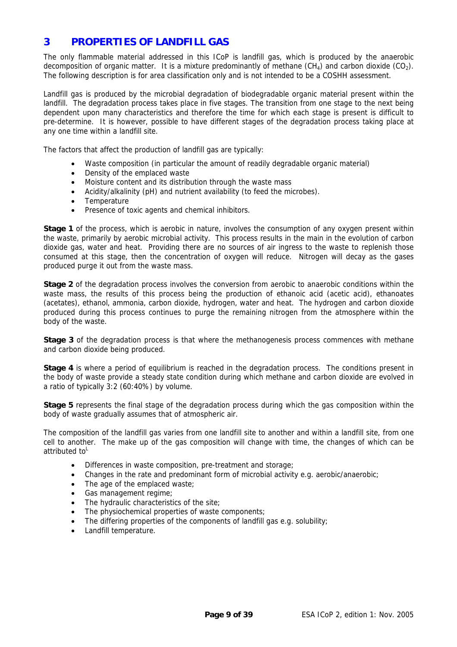#### <span id="page-8-0"></span>**3 PROPERTIES OF LANDFILL GAS**

The only flammable material addressed in this ICoP is landfill gas, which is produced by the anaerobic decomposition of organic matter. It is a mixture predominantly of methane  $(CH_4)$  and carbon dioxide  $(CO_2)$ . The following description is for area classification only and is not intended to be a COSHH assessment.

Landfill gas is produced by the microbial degradation of biodegradable organic material present within the landfill. The degradation process takes place in five stages. The transition from one stage to the next being dependent upon many characteristics and therefore the time for which each stage is present is difficult to pre-determine. It is however, possible to have different stages of the degradation process taking place at any one time within a landfill site.

The factors that affect the production of landfill gas are typically:

- Waste composition (in particular the amount of readily degradable organic material)
- Density of the emplaced waste
- Moisture content and its distribution through the waste mass
- Acidity/alkalinity (pH) and nutrient availability (to feed the microbes).
- Temperature
- Presence of toxic agents and chemical inhibitors.

**Stage 1** of the process, which is aerobic in nature, involves the consumption of any oxygen present within the waste, primarily by aerobic microbial activity. This process results in the main in the evolution of carbon dioxide gas, water and heat. Providing there are no sources of air ingress to the waste to replenish those consumed at this stage, then the concentration of oxygen will reduce. Nitrogen will decay as the gases produced purge it out from the waste mass.

**Stage 2** of the degradation process involves the conversion from aerobic to anaerobic conditions within the waste mass, the results of this process being the production of ethanoic acid (acetic acid), ethanoates (acetates), ethanol, ammonia, carbon dioxide, hydrogen, water and heat. The hydrogen and carbon dioxide produced during this process continues to purge the remaining nitrogen from the atmosphere within the body of the waste.

**Stage 3** of the degradation process is that where the methanogenesis process commences with methane and carbon dioxide being produced.

**Stage 4** is where a period of equilibrium is reached in the degradation process. The conditions present in the body of waste provide a steady state condition during which methane and carbon dioxide are evolved in a ratio of typically 3:2 (60:40%) by volume.

**Stage 5** represents the final stage of the degradation process during which the gas composition within the body of waste gradually assumes that of atmospheric air.

The composition of the landfill gas varies from one landfill site to another and within a landfill site, from one cell to another. The make up of the gas composition will change with time, the changes of which can be attributed to<sup>[L](#page-38-12)</sup>

- Differences in waste composition, pre-treatment and storage;
- Changes in the rate and predominant form of microbial activity e.g. aerobic/anaerobic;
- The age of the emplaced waste;
- Gas management regime;
- The hydraulic characteristics of the site:
- The physiochemical properties of waste components;
- The differing properties of the components of landfill gas e.g. solubility;
- Landfill temperature.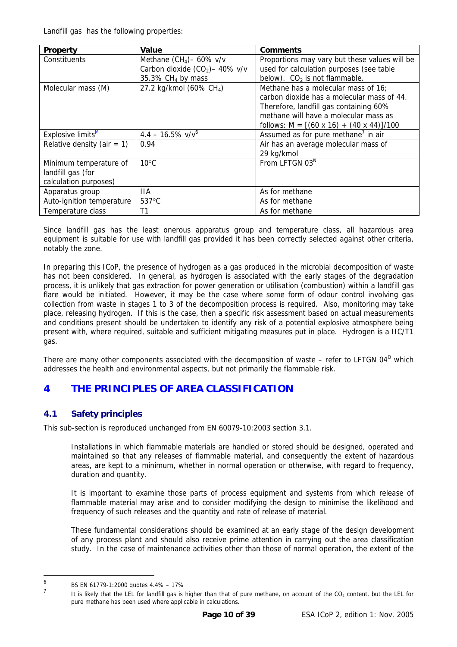<span id="page-9-0"></span>Landfill gas has the following properties:

| Property                      | Value                               | <b>Comments</b>                                      |
|-------------------------------|-------------------------------------|------------------------------------------------------|
| Constituents                  | Methane $(CH_4)$ – 60% v/v          | Proportions may vary but these values will be        |
|                               | Carbon dioxide $(CO2) - 40\%$ v/v   | used for calculation purposes (see table             |
|                               | 35.3% CH <sub>4</sub> by mass       | below). $CO2$ is not flammable.                      |
| Molecular mass (M)            | 27.2 kg/kmol (60% CH <sub>4</sub> ) | Methane has a molecular mass of 16;                  |
|                               |                                     | carbon dioxide has a molecular mass of 44.           |
|                               |                                     | Therefore, landfill gas containing 60%               |
|                               |                                     | methane will have a molecular mass as                |
|                               |                                     | follows: $M = [(60 \times 16) + (40 \times 44)]/100$ |
| Explosive limits <sup>M</sup> | $4.4 - 16.5\%$ v/v <sup>6</sup>     | Assumed as for pure methane <sup>7</sup> in air      |
| Relative density (air $= 1$ ) | 0.94                                | Air has an average molecular mass of                 |
|                               |                                     | 29 kg/kmol                                           |
| Minimum temperature of        | $10^{\circ}$ C                      | From LFTGN 03 <sup>N</sup>                           |
| landfill gas (for             |                                     |                                                      |
| calculation purposes)         |                                     |                                                      |
| Apparatus group               | 11A                                 | As for methane                                       |
| Auto-ignition temperature     | 537°C                               | As for methane                                       |
| Temperature class             | T1                                  | As for methane                                       |

Since landfill gas has the least onerous apparatus group and temperature class, all hazardous area equipment is suitable for use with landfill gas provided it has been correctly selected against other criteria, notably the zone.

In preparing this ICoP, the presence of hydrogen as a gas produced in the microbial decomposition of waste has not been considered. In general, as hydrogen is associated with the early stages of the degradation process, it is unlikely that gas extraction for power generation or utilisation (combustion) within a landfill gas flare would be initiated. However, it may be the case where some form of odour control involving gas collection from waste in stages 1 to 3 of the decomposition process is required. Also, monitoring may take place, releasing hydrogen. If this is the case, then a specific risk assessment based on actual measurements and conditions present should be undertaken to identify any risk of a potential explosive atmosphere being present with, where required, suitable and sufficient mitigating measures put in place. Hydrogen is a IIC/T1 gas.

There are many other components associated with the decomposition of waste – refer to LFTGN 04 $^{\circ}$  which addresses the health and environmental aspects, but not primarily the flammable risk.

### **4 THE PRINCIPLES OF AREA CLASSIFICATION**

#### **4.1 Safety principles**

This sub-section is reproduced unchanged from EN 60079-10:2003 section 3.1.

Installations in which flammable materials are handled or stored should be designed, operated and maintained so that any releases of flammable material, and consequently the extent of hazardous areas, are kept to a minimum, whether in normal operation or otherwise, with regard to frequency, duration and quantity.

It is important to examine those parts of process equipment and systems from which release of flammable material may arise and to consider modifying the design to minimise the likelihood and frequency of such releases and the quantity and rate of release of material.

These fundamental considerations should be examined at an early stage of the design development of any process plant and should also receive prime attention in carrying out the area classification study. In the case of maintenance activities other than those of normal operation, the extent of the

-

<span id="page-9-1"></span><sup>6</sup> BS EN 61779-1:2000 quotes 4.4% – 17% 7

<span id="page-9-2"></span>It is likely that the LEL for landfill gas is higher than that of pure methane, on account of the CO<sub>2</sub> content, but the LEL for pure methane has been used where applicable in calculations.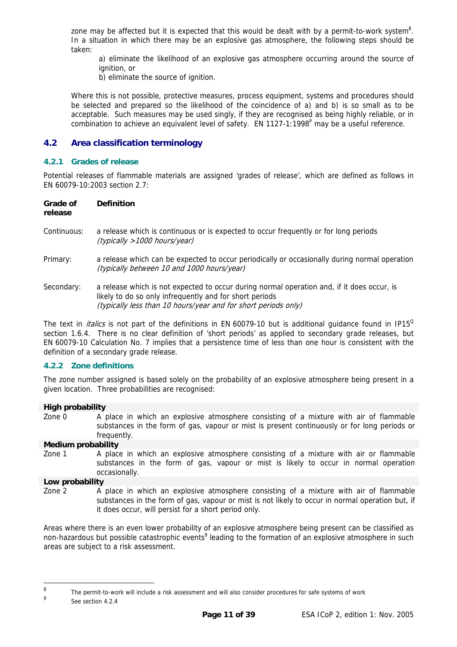<span id="page-10-0"></span>zone may be affected but it is expected that this would be dealt with by a permit-to-work system<sup>[8](#page-10-3)</sup>. In a situation in which there may be an explosive gas atmosphere, the following steps should be taken:

a) eliminate the likelihood of an explosive gas atmosphere occurring around the source of ignition, or

b) eliminate the source of ignition.

Where this is not possible, protective measures, process equipment, systems and procedures should be selected and prepared so the likelihood of the coincidence of a) and b) is so small as to be acceptable. Such measures may be used singly, if they are recognised as being highly reliable, or in combination to achieve an equivalent level of safety.  $EN 1127-1:1998^P$  may be a useful reference.

#### **4.2 Area classification terminology**

#### <span id="page-10-1"></span>**4.2.1 Grades of release**

Potential releases of flammable materials are assigned 'grades of release', which are defined as follows in EN 60079-10:2003 section 2.7:

| Grade of<br>release | <b>Definition</b>                                                                                                                                                                                                       |
|---------------------|-------------------------------------------------------------------------------------------------------------------------------------------------------------------------------------------------------------------------|
| Continuous:         | a release which is continuous or is expected to occur frequently or for long periods<br>(typically >1000 hours/year)                                                                                                    |
| Primary:            | a release which can be expected to occur periodically or occasionally during normal operation<br>(typically between 10 and 1000 hours/year)                                                                             |
| Secondary:          | a release which is not expected to occur during normal operation and, if it does occur, is<br>likely to do so only infrequently and for short periods<br>(typically less than 10 hours/year and for short periods only) |

The text in *italics* is not part of the definitions in EN 60079-10 but is additional quidance found in IP15<sup> $O$ </sup> section 1.6.4. There is no clear definition of 'short periods' as applied to secondary grade releases, but EN 60079-10 Calculation No. 7 implies that a persistence time of less than one hour is consistent with the definition of a secondary grade release.

#### <span id="page-10-2"></span>**4.2.2 Zone definitions**

The zone number assigned is based solely on the probability of an explosive atmosphere being present in a given location. Three probabilities are recognised:

#### **High probability**  Zone 0 A place in which an explosive atmosphere consisting of a mixture with air of flammable substances in the form of gas, vapour or mist is present continuously or for long periods or frequently.

#### **Medium probability**

Zone 1 A place in which an explosive atmosphere consisting of a mixture with air or flammable substances in the form of gas, vapour or mist is likely to occur in normal operation occasionally.

#### **Low probability**

Zone 2 A place in which an explosive atmosphere consisting of a mixture with air of flammable substances in the form of gas, vapour or mist is not likely to occur in normal operation but, if it does occur, will persist for a short period only.

Areas where there is an even lower probability of an explosive atmosphere being present can be classified as non-hazardous but possible catastrophic events<sup>[9](#page-10-4)</sup> leading to the formation of an explosive atmosphere in such areas are subject to a risk assessment.

-

<span id="page-10-3"></span><sup>8</sup> The permit-to-work will include a risk assessment and will also consider procedures for safe systems of work

<span id="page-10-4"></span> $\overline{Q}$ See section 4.2.4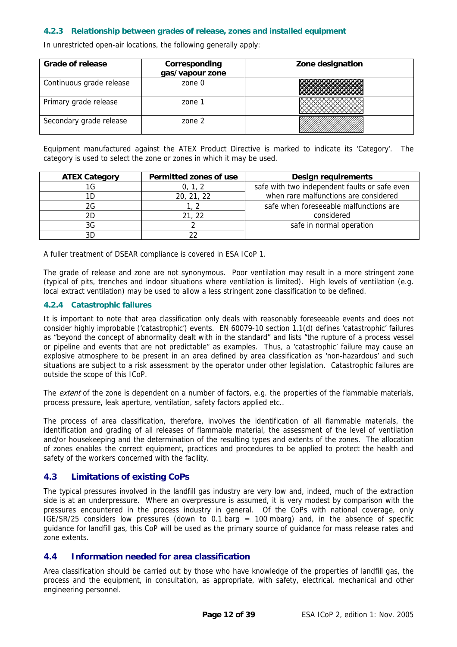#### <span id="page-11-0"></span>**4.2.3 Relationship between grades of release, zones and installed equipment**

In unrestricted open-air locations, the following generally apply:

| <b>Grade of release</b>  | Corresponding<br>gas/vapour zone | Zone designation |  |  |
|--------------------------|----------------------------------|------------------|--|--|
| Continuous grade release | zone 0                           |                  |  |  |
| Primary grade release    | zone 1                           |                  |  |  |
| Secondary grade release  | zone 2                           |                  |  |  |

Equipment manufactured against the ATEX Product Directive is marked to indicate its 'Category'. The category is used to select the zone or zones in which it may be used.

| <b>ATEX Category</b> | Permitted zones of use | <b>Design requirements</b>                    |
|----------------------|------------------------|-----------------------------------------------|
| 1G                   | 0, 1, 2                | safe with two independent faults or safe even |
|                      | 20, 21, 22             | when rare malfunctions are considered         |
| 2G                   |                        | safe when foreseeable malfunctions are        |
| 2D                   | 21, 22                 | considered                                    |
| 3G                   |                        | safe in normal operation                      |
|                      |                        |                                               |

A fuller treatment of DSEAR compliance is covered in ESA ICoP 1.

The grade of release and zone are not synonymous. Poor ventilation may result in a more stringent zone (typical of pits, trenches and indoor situations where ventilation is limited). High levels of ventilation (e.g. local extract ventilation) may be used to allow a less stringent zone classification to be defined.

#### <span id="page-11-1"></span>**4.2.4 Catastrophic failures**

It is important to note that area classification only deals with reasonably foreseeable events and does not consider highly improbable ('catastrophic') events. EN 60079-10 section 1.1(d) defines 'catastrophic' failures as "beyond the concept of abnormality dealt with in the standard" and lists "the rupture of a process vessel or pipeline and events that are not predictable" as examples. Thus, a 'catastrophic' failure may cause an explosive atmosphere to be present in an area defined by area classification as 'non-hazardous' and such situations are subject to a risk assessment by the operator under other legislation. Catastrophic failures are outside the scope of this ICoP.

The *extent* of the zone is dependent on a number of factors, e.g. the properties of the flammable materials, process pressure, leak aperture, ventilation, safety factors applied etc..

The process of area classification, therefore, involves the identification of all flammable materials, the identification and grading of all releases of flammable material, the assessment of the level of ventilation and/or housekeeping and the determination of the resulting types and extents of the zones. The allocation of zones enables the correct equipment, practices and procedures to be applied to protect the health and safety of the workers concerned with the facility.

#### **4.3 Limitations of existing CoPs**

The typical pressures involved in the landfill gas industry are very low and, indeed, much of the extraction side is at an underpressure. Where an overpressure is assumed, it is very modest by comparison with the pressures encountered in the process industry in general. Of the CoPs with national coverage, only IGE/SR/25 considers low pressures (down to 0.1 barg = 100 mbarg) and, in the absence of specific guidance for landfill gas, this CoP will be used as the primary source of guidance for mass release rates and zone extents.

#### **4.4 Information needed for area classification**

Area classification should be carried out by those who have knowledge of the properties of landfill gas, the process and the equipment, in consultation, as appropriate, with safety, electrical, mechanical and other engineering personnel.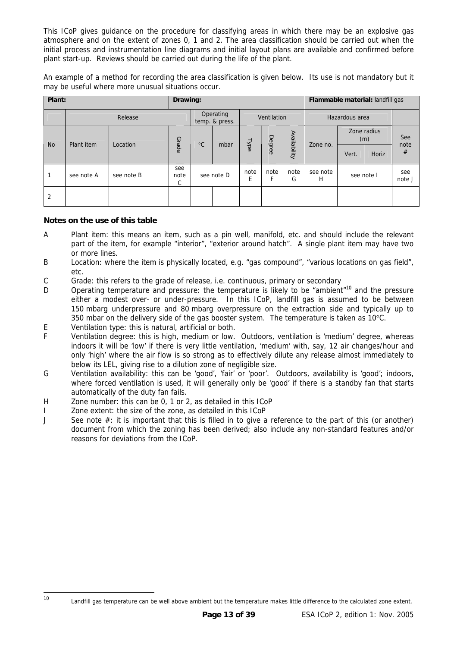This ICoP gives guidance on the procedure for classifying areas in which there may be an explosive gas atmosphere and on the extent of zones 0, 1 and 2. The area classification should be carried out when the initial process and instrumentation line diagrams and initial layout plans are available and confirmed before plant start-up. Reviews should be carried out during the life of the plant.

An example of a method for recording the area classification is given below. Its use is not mandatory but it may be useful where more unusual situations occur.

| Plant:    |            |              | Drawing:         |              |                             |                    | Flammable material: landfill gas |             |               |                |       |               |
|-----------|------------|--------------|------------------|--------------|-----------------------------|--------------------|----------------------------------|-------------|---------------|----------------|-------|---------------|
|           | Release    |              |                  |              | Operating<br>temp. & press. |                    | Ventilation                      |             |               | Hazardous area |       |               |
|           | Plant item | $^{\circ}$ C |                  | Availability | Zone no.                    | Zone radius<br>(m) |                                  | See<br>note |               |                |       |               |
| <b>No</b> |            | Location     | Grade            |              | mbar                        | Type               | Degree                           |             |               | Vert.          | Horiz | #             |
|           | see note A | see note B   | see<br>note<br>C |              | see note D                  | note<br>E          | note<br>F                        | note<br>G   | see note<br>Н | see note I     |       | see<br>note J |
| 2         |            |              |                  |              |                             |                    |                                  |             |               |                |       |               |

#### **Notes on the use of this table**

<span id="page-12-0"></span>-

- A Plant item: this means an item, such as a pin well, manifold, etc. and should include the relevant part of the item, for example "interior", "exterior around hatch". A single plant item may have two or more lines.
- B Location: where the item is physically located, e.g. "gas compound", "various locations on gas field", etc.
- C Grade: this refers to the grade of release, i.e. continuous, primary or secondary
- D Operating temperature and pressure: the temperature is likely to be "ambient"<sup>10</sup> and the pressure either a modest over- or under-pressure. In this ICoP, landfill gas is assumed to be between 150 mbarg underpressure and 80 mbarg overpressure on the extraction side and typically up to 350 mbar on the delivery side of the gas booster system. The temperature is taken as 10°C.
- E Ventilation type: this is natural, artificial or both.
- F Ventilation degree: this is high, medium or low. Outdoors, ventilation is 'medium' degree, whereas indoors it will be 'low' if there is very little ventilation, 'medium' with, say, 12 air changes/hour and only 'high' where the air flow is so strong as to effectively dilute any release almost immediately to below its LEL, giving rise to a dilution zone of negligible size.
- G Ventilation availability: this can be 'good', 'fair' or 'poor'. Outdoors, availability is 'good'; indoors, where forced ventilation is used, it will generally only be 'good' if there is a standby fan that starts automatically of the duty fan fails.
- H Zone number: this can be 0, 1 or 2, as detailed in this ICoP
- I Zone extent: the size of the zone, as detailed in this ICoP
- J See note #: it is important that this is filled in to give a reference to the part of this (or another) document from which the zoning has been derived; also include any non-standard features and/or reasons for deviations from the ICoP.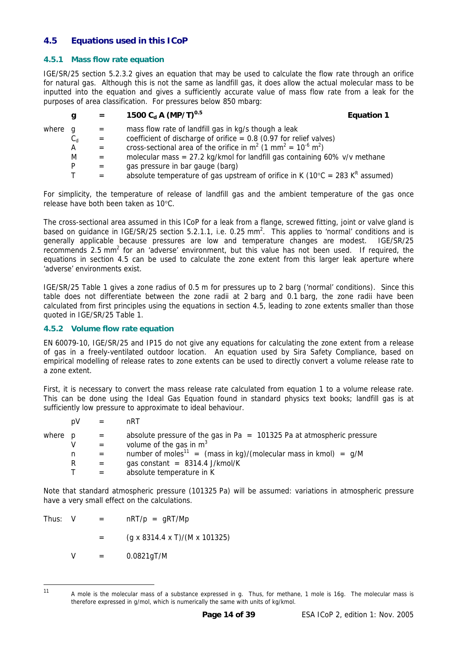#### <span id="page-13-1"></span><span id="page-13-0"></span>**4.5 Equations used in this ICoP**

#### **4.5.1 Mass flow rate equation**

IGE/SR/25 section 5.2.3.2 gives an equation that may be used to calculate the flow rate through an orifice for natural gas. Although this is not the same as landfill gas, it does allow the actual molecular mass to be inputted into the equation and gives a sufficiently accurate value of mass flow rate from a leak for the purposes of area classification. For pressures below 850 mbarg:

|         | g       | $=$ | 1500 $C_d$ A (MP/T) <sup>0.5</sup>                                                                  | <b>Equation 1</b> |
|---------|---------|-----|-----------------------------------------------------------------------------------------------------|-------------------|
| where q |         | $=$ | mass flow rate of landfill gas in kg/s though a leak                                                |                   |
|         | $C_{d}$ | $=$ | coefficient of discharge of orifice = $0.8$ (0.97 for relief valves)                                |                   |
|         | A       |     | cross-sectional area of the orifice in $m^2$ (1 mm <sup>2</sup> = 10 <sup>-6</sup> m <sup>2</sup> ) |                   |
|         | M       |     | molecular mass = $27.2$ kg/kmol for landfill gas containing 60% v/v methane                         |                   |
|         | D.      | $=$ | gas pressure in bar gauge (barg)                                                                    |                   |
|         |         |     | absolute temperature of gas upstream of orifice in K ( $10^{\circ}$ C = 283 K <sup>R</sup> assumed) |                   |

For simplicity, the temperature of release of landfill gas and the ambient temperature of the gas once release have both been taken as 10°C.

The cross-sectional area assumed in this ICoP for a leak from a flange, screwed fitting, joint or valve gland is based on guidance in IGE/SR/25 section 5.2.1.1, i.e. 0.25 mm<sup>2</sup>. This applies to 'normal' conditions and is generally applicable because pressures are low and temperature changes are modest. IGE/SR/25 recommends 2.5 mm<sup>2</sup> for an 'adverse' environment, but this value has not been used. If required, the equations in section [4.5](#page-13-1) can be used to calculate the zone extent from this larger leak aperture where 'adverse' environments exist.

IGE/SR/25 Table 1 gives a zone radius of 0.5 m for pressures up to 2 barg ('normal' conditions). Since this table does not differentiate between the zone radii at 2 barg and 0.1 barg, the zone radii have been calculated from first principles using the equations in section [4.5,](#page-13-1) leading to zone extents smaller than those quoted in IGE/SR/25 Table 1.

#### **4.5.2 Volume flow rate equation**

EN 60079-10, IGE/SR/25 and IP15 do not give any equations for calculating the zone extent from a release of gas in a freely-ventilated outdoor location. An equation used by Sira Safety Compliance, based on empirical modelling of release rates to zone extents can be used to directly convert a volume release rate to a zone extent.

First, it is necessary to convert the mass release rate calculated from equation 1 to a volume release rate. This can be done using the Ideal Gas Equation found in standard physics text books; landfill gas is at sufficiently low pressure to approximate to ideal behaviour.

|         | pV |                           | nRT                                                                           |
|---------|----|---------------------------|-------------------------------------------------------------------------------|
| where p |    | $\mathbf{r} = \mathbf{r}$ | absolute pressure of the gas in Pa $= 101325$ Pa at atmospheric pressure      |
|         |    |                           | volume of the gas in $m3$                                                     |
|         | n  |                           | number of moles <sup>11</sup> = (mass in kg)/(molecular mass in kmol) = $g/M$ |
|         | R  | $=$                       | gas constant = $8314.4$ J/kmol/K                                              |
|         |    |                           | absolute temperature in K                                                     |

Note that standard atmospheric pressure (101325 Pa) will be assumed: variations in atmospheric pressure have a very small effect on the calculations.

| Thus: V |  | $nRT/p = gRT/Mp$ |  |
|---------|--|------------------|--|
|         |  |                  |  |

- $=$  (g x 8314.4 x T)/(M x 101325)
- $V = 0.0821qT/M$

 $11$ 

<span id="page-13-2"></span>A mole is the molecular mass of a substance expressed in g. Thus, for methane, 1 mole is 16g. The molecular mass is therefore expressed in g/mol, which is numerically the same with units of kg/kmol.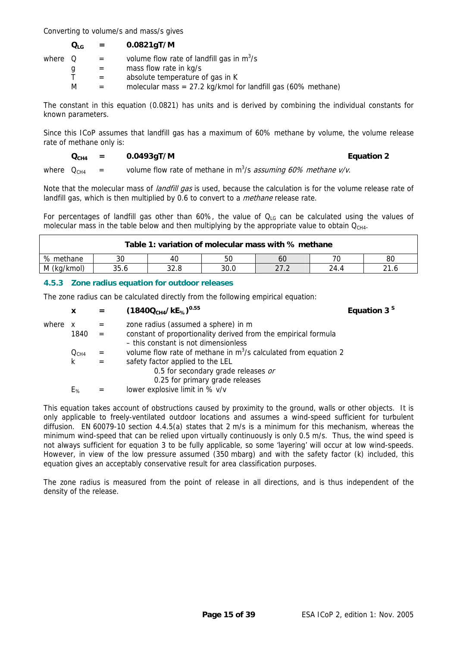<span id="page-14-0"></span>Converting to volume/s and mass/s gives

| $Q_{LG}$ | 0.0821gT/M |
|----------|------------|
|----------|------------|

| where Q |   | $\mathbf{r} = \mathbf{r}$ | volume flow rate of landfill gas in $m^3/s$                    |
|---------|---|---------------------------|----------------------------------------------------------------|
|         | u | $=$                       | mass flow rate in kg/s                                         |
|         |   | $\equiv$                  | absolute temperature of gas in K                               |
|         | м | $\equiv$                  | molecular mass = $27.2$ kg/kmol for landfill gas (60% methane) |

The constant in this equation (0.0821) has units and is derived by combining the individual constants for known parameters.

Since this ICoP assumes that landfill gas has a maximum of 60% methane by volume, the volume release rate of methane only is:

#### $Q_{CH4}$  = 0.0493gT/M **Equation 2**

where  $Q_{CH4}$  = volume flow rate of methane in m<sup>3</sup>/s *assuming 60% methane v/v*.

landfill gas, which is then multiplied by 0.6 to convert to a *methane* release rate. Note that the molecular mass of *landfill gas* is used, because the calculation is for the volume release rate of

For percentages of landfill gas other than 60%, the value of  $Q_{LG}$  can be calculated using the values of molecular mass in the table below and then multiplying by the appropriate value to obtain  $Q<sub>CH4</sub>$ .

| Table 1: variation of molecular mass with % methane |                                              |    |    |    |    |    |  |  |  |
|-----------------------------------------------------|----------------------------------------------|----|----|----|----|----|--|--|--|
| % methane                                           | 30                                           | 40 | 50 | 60 | 70 | 80 |  |  |  |
| M (kg/kmol)                                         | 35.6<br>30.0<br>32.8<br>21.6<br>ר דר<br>24.4 |    |    |    |    |    |  |  |  |

#### **4.5.3 Zone radius equation for outdoor releases**

The zone radius can be calculated directly from the following empirical equation:

|       | X                | $=$ | $(1840QCH4/kE%)0.55$                                              | Equation 3 <sup>S</sup> |
|-------|------------------|-----|-------------------------------------------------------------------|-------------------------|
| where | X                | $=$ | zone radius (assumed a sphere) in m                               |                         |
|       | 1840             | $=$ | constant of proportionality derived from the empirical formula    |                         |
|       |                  |     | - this constant is not dimensionless                              |                         |
|       | Q <sub>CH4</sub> | $=$ | volume flow rate of methane in $m^3/s$ calculated from equation 2 |                         |
|       | k                | $=$ | safety factor applied to the LEL                                  |                         |
|       |                  |     | 0.5 for secondary grade releases or                               |                         |
|       |                  |     | 0.25 for primary grade releases                                   |                         |
|       | $E_{\%}$         |     | lower explosive limit in % v/v                                    |                         |

This equation takes account of obstructions caused by proximity to the ground, walls or other objects. It is only applicable to freely-ventilated outdoor locations and assumes a wind-speed sufficient for turbulent diffusion. EN 60079-10 section 4.4.5(a) states that 2 m/s is a minimum for this mechanism, whereas the minimum wind-speed that can be relied upon virtually continuously is only 0.5 m/s. Thus, the wind speed is not always sufficient for equation 3 to be fully applicable, so some 'layering' will occur at low wind-speeds. However, in view of the low pressure assumed (350 mbarg) and with the safety factor (k) included, this equation gives an acceptably conservative result for area classification purposes.

The zone radius is measured from the point of release in all directions, and is thus independent of the density of the release.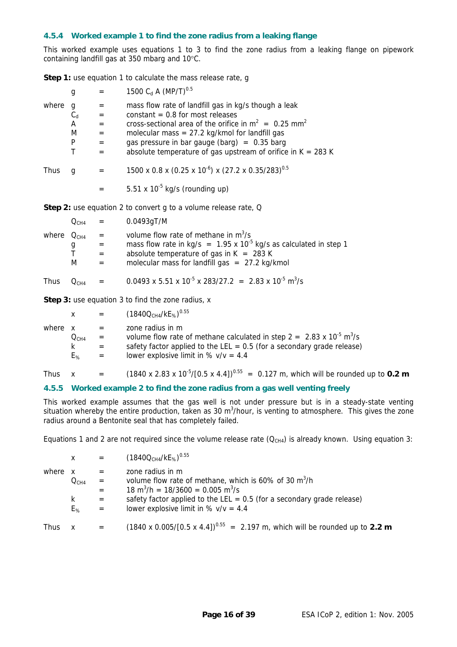#### <span id="page-15-0"></span>**4.5.4 Worked example 1 to find the zone radius from a leaking flange**

This worked example uses equations 1 to 3 to find the zone radius from a leaking flange on pipework containing landfill gas at 350 mbarg and 10°C.

**Step 1:** use equation 1 to calculate the mass release rate, q

|             | g                                     | $=$                                    | 1500 $C_d$ A (MP/T) <sup>0.5</sup>                                                                                                                                                                                                                                                                                                        |
|-------------|---------------------------------------|----------------------------------------|-------------------------------------------------------------------------------------------------------------------------------------------------------------------------------------------------------------------------------------------------------------------------------------------------------------------------------------------|
| where       | g<br>$C_d$<br>A<br>M<br>P<br>T        | $=$<br>$=$<br>$=$<br>$=$<br>$=$<br>$=$ | mass flow rate of landfill gas in kg/s though a leak<br>constant $= 0.8$ for most releases<br>cross-sectional area of the orifice in $m^2 = 0.25$ mm <sup>2</sup><br>molecular mass = $27.2$ kg/kmol for landfill gas<br>gas pressure in bar gauge (barg) = $0.35$ barg<br>absolute temperature of gas upstream of orifice in $K = 283 K$ |
| <b>Thus</b> | g                                     | $=$                                    | 1500 x 0.8 x (0.25 x 10 <sup>-6</sup> ) x (27.2 x 0.35/283) <sup>0.5</sup>                                                                                                                                                                                                                                                                |
|             |                                       | $=$                                    | 5.51 x $10^{-5}$ kg/s (rounding up)                                                                                                                                                                                                                                                                                                       |
|             |                                       |                                        | <b>Step 2:</b> use equation 2 to convert g to a volume release rate, Q                                                                                                                                                                                                                                                                    |
|             | $Q_{CH4}$                             | $=$                                    | $0.0493$ gT/M                                                                                                                                                                                                                                                                                                                             |
|             | where $Q_{CH4}$<br>$\frac{g}{I}$<br>M | $=$<br>$=$<br>$=$<br>$=$               | volume flow rate of methane in $m^3$ /s<br>mass flow rate in kg/s = $1.95 \times 10^{-5}$ kg/s as calculated in step 1<br>absolute temperature of gas in $K = 283 K$<br>molecular mass for landfill gas $= 27.2$ kg/kmol                                                                                                                  |
| <b>Thus</b> | $Q_{CH4}$                             | $=$                                    | $0.0493 \times 5.51 \times 10^{-5} \times 283/27.2 = 2.83 \times 10^{-5} \text{ m}^3/\text{s}$                                                                                                                                                                                                                                            |
|             |                                       |                                        | <b>Step 3:</b> use equation 3 to find the zone radius, x                                                                                                                                                                                                                                                                                  |

|         | x         | $=$ | $(1840QCH4/kE%)0.55$                                                                                     |
|---------|-----------|-----|----------------------------------------------------------------------------------------------------------|
| where x |           | $=$ | zone radius in m                                                                                         |
|         | $Q_{CH4}$ | $=$ | volume flow rate of methane calculated in step $2 = 2.83 \times 10^{-5}$ m <sup>3</sup> /s               |
|         | k.        | $=$ | safety factor applied to the LEL = $0.5$ (for a secondary grade release)                                 |
|         | $E_{\%}$  | $=$ | lower explosive limit in % $v/v = 4.4$                                                                   |
| Thus    |           | $=$ | $(1840 \times 2.83 \times 10^{-5}/[0.5 \times 4.4])^{0.55}$ = 0.127 m, which will be rounded up to 0.2 m |

#### **4.5.5 Worked example 2 to find the zone radius from a gas well venting freely**

This worked example assumes that the gas well is not under pressure but is in a steady-state venting situation whereby the entire production, taken as 30 m<sup>3</sup>/hour, is venting to atmosphere. This gives the zone radius around a Bentonite seal that has completely failed.

Equations 1 and 2 are not required since the volume release rate  $(Q<sub>CH4</sub>)$  is already known. Using equation 3:

|       | $\mathsf{X}$                                   | $\mathcal{L}_{\mathcal{A}}$ and $\mathcal{L}_{\mathcal{A}}$ | $(1840QCH4/kE%)0.55$                                                                                                                                                                                                                                                            |
|-------|------------------------------------------------|-------------------------------------------------------------|---------------------------------------------------------------------------------------------------------------------------------------------------------------------------------------------------------------------------------------------------------------------------------|
| where | $\mathbf{x}$<br>$\rm O_{CH4}$<br>k<br>$E_{\%}$ | $=$<br>$\alpha = 1$<br>$=$<br>$=$<br>$\alpha = \alpha$      | zone radius in m<br>volume flow rate of methane, which is 60% of 30 m <sup>3</sup> /h<br>$18 \text{ m}^3/\text{h} = 18/3600 = 0.005 \text{ m}^3/\text{s}$<br>safety factor applied to the LEL = $0.5$ (for a secondary grade release)<br>lower explosive limit in % $v/v = 4.4$ |
| Thus  | X                                              | $=$                                                         | (1840 x 0.005/[0.5 x 4.4]) <sup>0.55</sup> = 2.197 m, which will be rounded up to 2.2 m                                                                                                                                                                                         |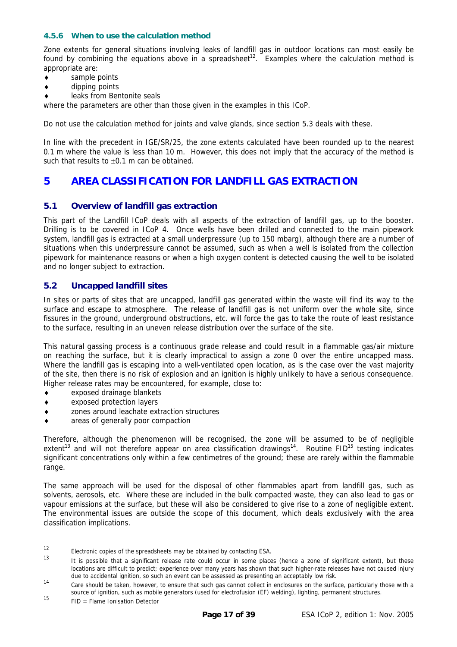#### <span id="page-16-0"></span>**4.5.6 When to use the calculation method**

Zone extents for general situations involving leaks of landfill gas in outdoor locations can most easily be found by combining the equations above in a spreadsheet<sup>12</sup>. Examples where the calculation method is appropriate are:

- sample points
- dipping points
- leaks from Bentonite seals

where the parameters are other than those given in the examples in this ICoP.

Do not use the calculation method for joints and valve glands, since section [5.3](#page-17-1) deals with these.

In line with the precedent in IGE/SR/25, the zone extents calculated have been rounded up to the nearest 0.1 m where the value is less than 10 m. However, this does not imply that the accuracy of the method is such that results to  $\pm 0.1$  m can be obtained.

#### **5 AREA CLASSIFICATION FOR LANDFILL GAS EXTRACTION**

#### **5.1 Overview of landfill gas extraction**

This part of the Landfill ICoP deals with all aspects of the extraction of landfill gas, up to the booster. Drilling is to be covered in ICoP 4. Once wells have been drilled and connected to the main pipework system, landfill gas is extracted at a small underpressure (up to 150 mbarg), although there are a number of situations when this underpressure cannot be assumed, such as when a well is isolated from the collection pipework for maintenance reasons or when a high oxygen content is detected causing the well to be isolated and no longer subject to extraction.

#### <span id="page-16-5"></span>**5.2 Uncapped landfill sites**

In sites or parts of sites that are uncapped, landfill gas generated within the waste will find its way to the surface and escape to atmosphere. The release of landfill gas is not uniform over the whole site, since fissures in the ground, underground obstructions, etc. will force the gas to take the route of least resistance to the surface, resulting in an uneven release distribution over the surface of the site.

This natural gassing process is a continuous grade release and could result in a flammable gas/air mixture on reaching the surface, but it is clearly impractical to assign a zone 0 over the entire uncapped mass. Where the landfill gas is escaping into a well-ventilated open location, as is the case over the vast majority of the site, then there is no risk of explosion and an ignition is highly unlikely to have a serious consequence. Higher release rates may be encountered, for example, close to:

- ♦ exposed drainage blankets
- ♦ exposed protection layers
- ♦ zones around leachate extraction structures
- areas of generally poor compaction

Therefore, although the phenomenon will be recognised, the zone will be assumed to be of negligible extent<sup>13</sup> and will not therefore appear on area classification drawings<sup>14</sup>. Routine FID<sup>15</sup> testing indicates significant concentrations only within a few centimetres of the ground; these are rarely within the flammable range.

The same approach will be used for the disposal of other flammables apart from landfill gas, such as solvents, aerosols, etc. Where these are included in the bulk compacted waste, they can also lead to gas or vapour emissions at the surface, but these will also be considered to give rise to a zone of negligible extent. The environmental issues are outside the scope of this document, which deals exclusively with the area classification implications.

<span id="page-16-1"></span> $12$  $12$  Electronic copies of the spreadsheets may be obtained by contacting ESA.

<span id="page-16-2"></span>It is possible that a significant release rate could occur in some places (hence a zone of significant extent), but these locations are difficult to predict; experience over many years has shown that such higher-rate releases have not caused injury due to accidental ignition, so such an event can be assessed as presenting an acceptably low risk.

<span id="page-16-3"></span><sup>14</sup> Care should be taken, however, to ensure that such gas cannot collect in enclosures on the surface, particularly those with a source of ignition, such as mobile generators (used for electrofusion (EF) welding), lighting, permanent structures.

<span id="page-16-4"></span> $15$  FID = Flame Ionisation Detector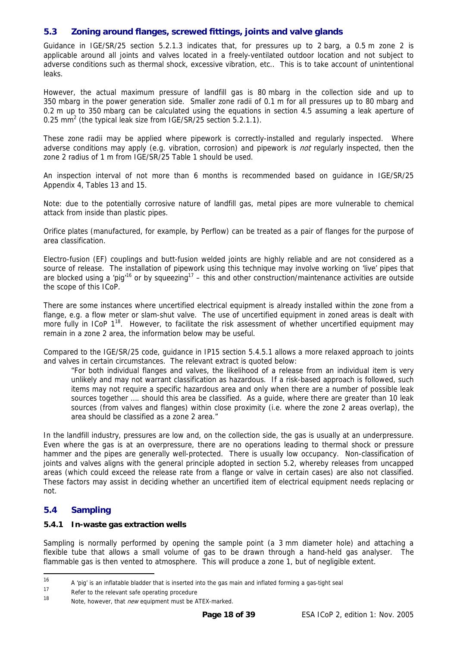#### <span id="page-17-1"></span><span id="page-17-0"></span>**5.3 Zoning around flanges, screwed fittings, joints and valve glands**

Guidance in IGE/SR/25 section 5.2.1.3 indicates that, for pressures up to 2 barg, a 0.5 m zone 2 is applicable around all joints and valves located in a freely-ventilated outdoor location and not subject to adverse conditions such as thermal shock, excessive vibration, etc.. This is to take account of unintentional leaks.

However, the actual maximum pressure of landfill gas is 80 mbarg in the collection side and up to 350 mbarg in the power generation side. Smaller zone radii of 0.1 m for all pressures up to 80 mbarg and 0.2 m up to 350 mbarg can be calculated using the equations in section [4.5](#page-13-1) assuming a leak aperture of 0.25 mm<sup>2</sup> (the typical leak size from IGE/SR/25 section 5.2.1.1).

These zone radii may be applied where pipework is correctly-installed and regularly inspected. Where adverse conditions may apply (e.g. vibration, corrosion) and pipework is *not* regularly inspected, then the zone 2 radius of 1 m from IGE/SR/25 Table 1 should be used.

An inspection interval of not more than 6 months is recommended based on guidance in IGE/SR/25 Appendix 4, Tables 13 and 15.

Note: due to the potentially corrosive nature of landfill gas, metal pipes are more vulnerable to chemical attack from inside than plastic pipes.

Orifice plates (manufactured, for example, by Perflow) can be treated as a pair of flanges for the purpose of area classification.

Electro-fusion (EF) couplings and butt-fusion welded joints are highly reliable and are not considered as a source of release. The installation of pipework using this technique may involve working on 'live' pipes that are blocked using a 'pig<sup>-16</sup> or by squeezing<sup>17</sup> – this and other construction/maintenance activities are outside the scope of this ICoP.

There are some instances where uncertified electrical equipment is already installed within the zone from a flange, e.g. a flow meter or slam-shut valve. The use of uncertified equipment in zoned areas is dealt with more fully in ICoP 1<sup>18</sup>. However, to facilitate the risk assessment of whether uncertified equipment may remain in a zone 2 area, the information below may be useful.

Compared to the IGE/SR/25 code, guidance in IP15 section 5.4.5.1 allows a more relaxed approach to joints and valves in certain circumstances. The relevant extract is quoted below:

 "For both individual flanges and valves, the likelihood of a release from an individual item is very unlikely and may not warrant classification as hazardous. If a risk-based approach is followed, such items may not require a specific hazardous area and only when there are a number of possible leak sources together .... should this area be classified. As a guide, where there are greater than 10 leak sources (from valves and flanges) within close proximity (i.e. where the zone 2 areas overlap), the area should be classified as a zone 2 area."

In the landfill industry, pressures are low and, on the collection side, the gas is usually at an underpressure. Even where the gas is at an overpressure, there are no operations leading to thermal shock or pressure hammer and the pipes are generally well-protected. There is usually low occupancy. Non-classification of joints and valves aligns with the general principle adopted in section [5.2,](#page-16-5) whereby releases from uncapped areas (which could exceed the release rate from a flange or valve in certain cases) are also not classified. These factors may assist in deciding whether an uncertified item of electrical equipment needs replacing or not.

#### <span id="page-17-5"></span>**5.4 Sampling**

-

#### **5.4.1 In-waste gas extraction wells**

Sampling is normally performed by opening the sample point (a 3 mm diameter hole) and attaching a flexible tube that allows a small volume of gas to be drawn through a hand-held gas analyser. The flammable gas is then vented to atmosphere. This will produce a zone 1, but of negligible extent.

<span id="page-17-2"></span><sup>16</sup> A 'pig' is an inflatable bladder that is inserted into the gas main and inflated forming a gas-tight seal

<span id="page-17-3"></span>Refer to the relevant safe operating procedure

<span id="page-17-4"></span><sup>18</sup> Note, however, that new equipment must be ATEX-marked.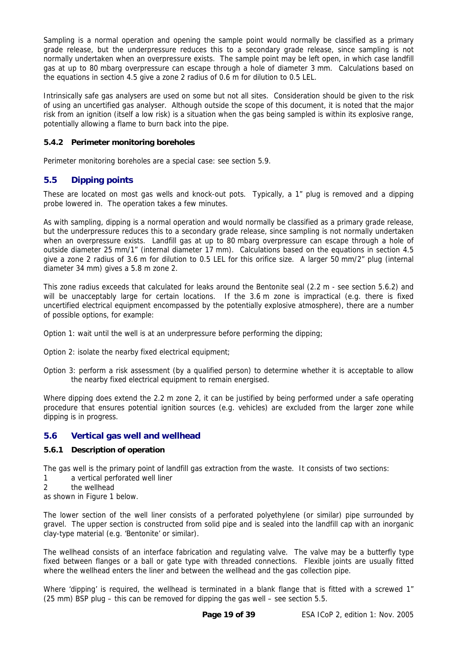<span id="page-18-0"></span>Sampling is a normal operation and opening the sample point would normally be classified as a primary grade release, but the underpressure reduces this to a secondary grade release, since sampling is not normally undertaken when an overpressure exists. The sample point may be left open, in which case landfill gas at up to 80 mbarg overpressure can escape through a hole of diameter 3 mm. Calculations based on the equations in section [4.5](#page-13-1) give a zone 2 radius of 0.6 m for dilution to 0.5 LEL.

Intrinsically safe gas analysers are used on some but not all sites. Consideration should be given to the risk of using an uncertified gas analyser. Although outside the scope of this document, it is noted that the major risk from an ignition (itself a low risk) is a situation when the gas being sampled is within its explosive range, potentially allowing a flame to burn back into the pipe.

#### **5.4.2 Perimeter monitoring boreholes**

Perimeter monitoring boreholes are a special case: see section [5.9.](#page-23-1)

#### <span id="page-18-2"></span>**5.5 Dipping points**

These are located on most gas wells and knock-out pots. Typically, a 1" plug is removed and a dipping probe lowered in. The operation takes a few minutes.

As with sampling, dipping is a normal operation and would normally be classified as a primary grade release, but the underpressure reduces this to a secondary grade release, since sampling is not normally undertaken when an overpressure exists. Landfill gas at up to 80 mbarg overpressure can escape through a hole of outside diameter 25 mm/1" (internal diameter 17 mm). Calculations based on the equations in section [4.5](#page-13-1)  give a zone 2 radius of 3.6 m for dilution to 0.5 LEL for this orifice size. A larger 50 mm/2" plug (internal diameter 34 mm) gives a 5.8 m zone 2.

<span id="page-18-1"></span>This zone radius exceeds that calculated for leaks around the Bentonite seal [\(2.2 m](#page-20-1) - see section [5.6.2\)](#page-19-0) and will be unacceptably large for certain locations. If the [3.6 m](#page-18-1) zone is impractical (e.g. there is fixed uncertified electrical equipment encompassed by the potentially explosive atmosphere), there are a number of possible options, for example:

Option 1: wait until the well is at an underpressure before performing the dipping;

Option 2: isolate the nearby fixed electrical equipment;

Option 3: perform a risk assessment (by a qualified person) to determine whether it is acceptable to allow the nearby fixed electrical equipment to remain energised.

Where dipping does extend the [2.2 m](#page-20-1) zone 2, it can be justified by being performed under a safe operating procedure that ensures potential ignition sources (e.g. vehicles) are excluded from the larger zone while dipping is in progress.

#### <span id="page-18-3"></span>**5.6 Vertical gas well and wellhead**

#### **5.6.1 Description of operation**

The gas well is the primary point of landfill gas extraction from the waste. It consists of two sections:

- 1 a vertical perforated well liner
- 2 the wellhead

as shown in Figure 1 below.

The lower section of the well liner consists of a perforated polyethylene (or similar) pipe surrounded by gravel. The upper section is constructed from solid pipe and is sealed into the landfill cap with an inorganic clay-type material (e.g. 'Bentonite' or similar).

The wellhead consists of an interface fabrication and regulating valve. The valve may be a butterfly type fixed between flanges or a ball or gate type with threaded connections. Flexible joints are usually fitted where the wellhead enters the liner and between the wellhead and the gas collection pipe.

Where 'dipping' is required, the wellhead is terminated in a blank flange that is fitted with a screwed 1" (25 mm) BSP plug – this can be removed for dipping the gas well – see section [5.5.](#page-18-2)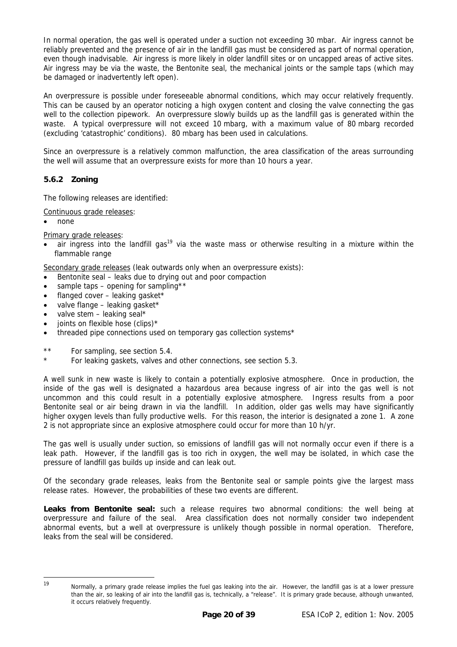In normal operation, the gas well is operated under a suction not exceeding 30 mbar. Air ingress cannot be reliably prevented and the presence of air in the landfill gas must be considered as part of normal operation, even though inadvisable. Air ingress is more likely in older landfill sites or on uncapped areas of active sites. Air ingress may be via the waste, the Bentonite seal, the mechanical joints or the sample taps (which may be damaged or inadvertently left open).

An overpressure is possible under foreseeable abnormal conditions, which may occur relatively frequently. This can be caused by an operator noticing a high oxygen content and closing the valve connecting the gas well to the collection pipework. An overpressure slowly builds up as the landfill gas is generated within the waste. A typical overpressure will not exceed 10 mbarg, with a maximum value of 80 mbarg recorded (excluding 'catastrophic' conditions). 80 mbarg has been used in calculations.

Since an overpressure is a relatively common malfunction, the area classification of the areas surrounding the well will assume that an overpressure exists for more than 10 hours a year.

#### <span id="page-19-0"></span>**5.6.2 Zoning**

The following releases are identified:

Continuous grade releases:

• none

Primary grade releases:

air ingress into the landfill gas<sup>19</sup> via the waste mass or otherwise resulting in a mixture within the flammable range

Secondary grade releases (leak outwards only when an overpressure exists):

- Bentonite seal leaks due to drying out and poor compaction
- sample taps opening for sampling\*\*
- flanged cover leaking gasket\*
- valve flange leaking gasket\*
- $\bullet$  valve stem leaking seal\*
- joints on flexible hose (clips)\*
- threaded pipe connections used on temporary gas collection systems\*
- \*\* For sampling, see section [5.4.](#page-17-5)
- For leaking gaskets, valves and other connections, see section [5.3.](#page-17-1)

A well sunk in new waste is likely to contain a potentially explosive atmosphere. Once in production, the inside of the gas well is designated a hazardous area because ingress of air into the gas well is not uncommon and this could result in a potentially explosive atmosphere. Ingress results from a poor Bentonite seal or air being drawn in via the landfill. In addition, older gas wells may have significantly higher oxygen levels than fully productive wells. For this reason, the interior is designated a zone 1. A zone 2 is not appropriate since an explosive atmosphere could occur for more than 10 h/yr.

The gas well is usually under suction, so emissions of landfill gas will not normally occur even if there is a leak path. However, if the landfill gas is too rich in oxygen, the well may be isolated, in which case the pressure of landfill gas builds up inside and can leak out.

Of the secondary grade releases, leaks from the Bentonite seal or sample points give the largest mass release rates. However, the probabilities of these two events are different.

**Leaks from Bentonite seal:** such a release requires two abnormal conditions: the well being at overpressure and failure of the seal. Area classification does not normally consider two independent abnormal events, but a well at overpressure is unlikely though possible in normal operation. Therefore, leaks from the seal will be considered.

<span id="page-19-1"></span> $19$ 

Normally, a primary grade release implies the fuel gas leaking into the air. However, the landfill gas is at a lower pressure than the air, so leaking of air into the landfill gas is, technically, a "release". It is primary grade because, although unwanted, it occurs relatively frequently.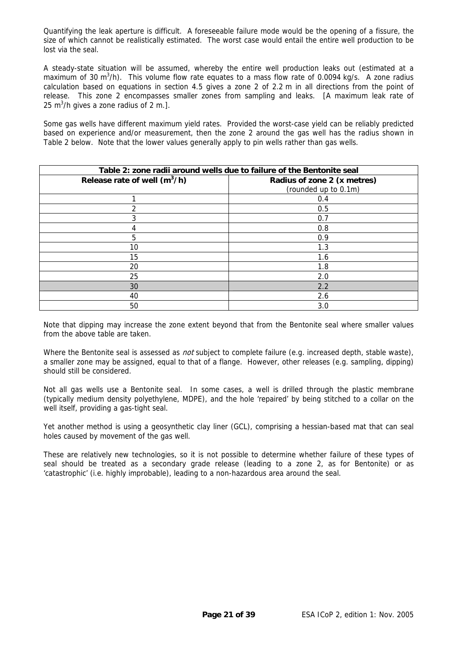<span id="page-20-0"></span>Quantifying the leak aperture is difficult. A foreseeable failure mode would be the opening of a fissure, the size of which cannot be realistically estimated. The worst case would entail the entire well production to be lost via the seal.

<span id="page-20-1"></span>A steady-state situation will be assumed, whereby the entire well production leaks out (estimated at a maximum of 30 m<sup>3</sup>/h). This volume flow rate equates to a mass flow rate of 0.0094 kg/s. A zone radius calculation based on equations in section [4.5](#page-13-1) gives a zone 2 of 2.2 m in all directions from the point of release. This zone 2 encompasses smaller zones from sampling and leaks. [A maximum leak rate of 25 m<sup>3</sup>/h gives a zone radius of 2 m.].

Some gas wells have different maximum yield rates. Provided the worst-case yield can be reliably predicted based on experience and/or measurement, then the zone 2 around the gas well has the radius shown in Table 2 below. Note that the lower values generally apply to pin wells rather than gas wells.

|                                | Table 2: zone radii around wells due to failure of the Bentonite seal |
|--------------------------------|-----------------------------------------------------------------------|
| Release rate of well $(m^3/h)$ | Radius of zone 2 (x metres)<br>(rounded up to 0.1m)                   |
|                                | 0.4                                                                   |
| $\mathfrak{D}$                 | 0.5                                                                   |
| 3                              | 0.7                                                                   |
| 4                              | 0.8                                                                   |
| 5                              | 0.9                                                                   |
| 10                             | 1.3                                                                   |
| 15                             | 1.6                                                                   |
| 20                             | 1.8                                                                   |
| 25                             | 2.0                                                                   |
| 30                             | 2.2                                                                   |
| 40                             | 2.6                                                                   |
| 50                             | 3.0                                                                   |

Note that dipping may increase the zone extent beyond that from the Bentonite seal where smaller values from the above table are taken.

Where the Bentonite seal is assessed as *not* subject to complete failure (e.g. increased depth, stable waste), a smaller zone may be assigned, equal to that of a flange. However, other releases (e.g. sampling, dipping) should still be considered.

Not all gas wells use a Bentonite seal. In some cases, a well is drilled through the plastic membrane (typically medium density polyethylene, MDPE), and the hole 'repaired' by being stitched to a collar on the well itself, providing a gas-tight seal.

Yet another method is using a geosynthetic clay liner (GCL), comprising a hessian-based mat that can seal holes caused by movement of the gas well.

These are relatively new technologies, so it is not possible to determine whether failure of these types of seal should be treated as a secondary grade release (leading to a zone 2, as for Bentonite) or as 'catastrophic' (i.e. highly improbable), leading to a non-hazardous area around the seal.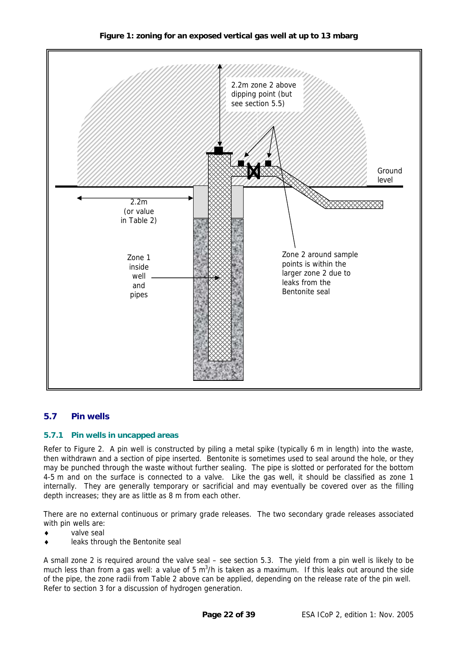**Figure 1: zoning for an exposed vertical gas well at up to 13 mbarg** 

<span id="page-21-0"></span>

#### **5.7 Pin wells**

#### **5.7.1 Pin wells in uncapped areas**

Refer to Figure 2. A pin well is constructed by piling a metal spike (typically 6 m in length) into the waste, then withdrawn and a section of pipe inserted. Bentonite is sometimes used to seal around the hole, or they may be punched through the waste without further sealing. The pipe is slotted or perforated for the bottom 4-5 m and on the surface is connected to a valve. Like the gas well, it should be classified as zone 1 internally. They are generally temporary or sacrificial and may eventually be covered over as the filling depth increases; they are as little as 8 m from each other.

There are no external continuous or primary grade releases. The two secondary grade releases associated with pin wells are:

- valve seal
- leaks through the Bentonite seal

A small zone 2 is required around the valve seal – see section [5.3.](#page-17-1) The yield from a pin well is likely to be much less than from a gas well: a value of 5 m<sup>3</sup>/h is taken as a maximum. If this leaks out around the side of the pipe, the zone radii from Table 2 above can be applied, depending on the release rate of the pin well. Refer to section 3 for a discussion of hydrogen generation.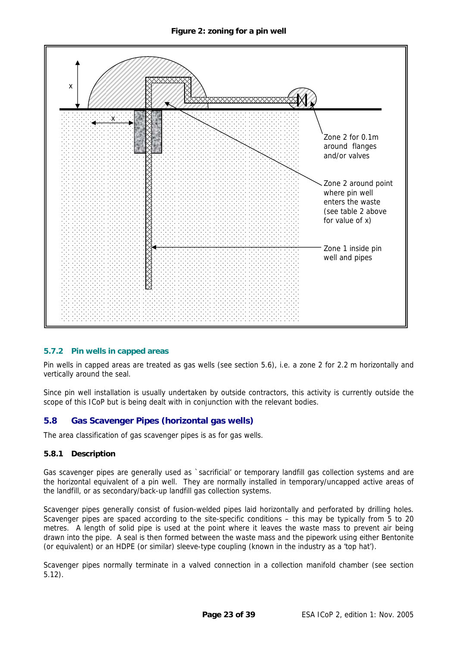<span id="page-22-0"></span>

#### **5.7.2 Pin wells in capped areas**

Pin wells in capped areas are treated as gas wells (see section [5.6\)](#page-18-3), i.e. a zone 2 for [2.2 m](#page-20-1) horizontally and vertically around the seal.

Since pin well installation is usually undertaken by outside contractors, this activity is currently outside the scope of this ICoP but is being dealt with in conjunction with the relevant bodies.

#### **5.8 Gas Scavenger Pipes (horizontal gas wells)**

The area classification of gas scavenger pipes is as for gas wells.

#### **5.8.1 Description**

Gas scavenger pipes are generally used as `sacrificial' or temporary landfill gas collection systems and are the horizontal equivalent of a pin well. They are normally installed in temporary/uncapped active areas of the landfill, or as secondary/back-up landfill gas collection systems.

Scavenger pipes generally consist of fusion-welded pipes laid horizontally and perforated by drilling holes. Scavenger pipes are spaced according to the site-specific conditions – this may be typically from 5 to 20 metres. A length of solid pipe is used at the point where it leaves the waste mass to prevent air being drawn into the pipe. A seal is then formed between the waste mass and the pipework using either Bentonite (or equivalent) or an HDPE (or similar) sleeve-type coupling (known in the industry as a 'top hat').

Scavenger pipes normally terminate in a valved connection in a collection manifold chamber (see section [5.12\)](#page-25-1).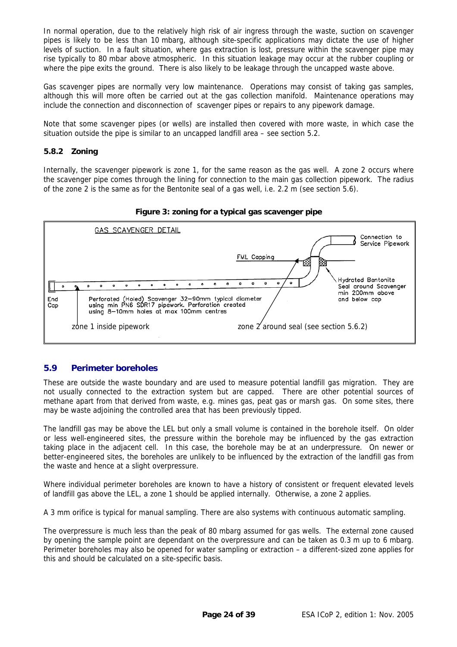<span id="page-23-0"></span>In normal operation, due to the relatively high risk of air ingress through the waste, suction on scavenger pipes is likely to be less than 10 mbarg, although site-specific applications may dictate the use of higher levels of suction. In a fault situation, where gas extraction is lost, pressure within the scavenger pipe may rise typically to 80 mbar above atmospheric. In this situation leakage may occur at the rubber coupling or where the pipe exits the ground. There is also likely to be leakage through the uncapped waste above.

Gas scavenger pipes are normally very low maintenance. Operations may consist of taking gas samples, although this will more often be carried out at the gas collection manifold. Maintenance operations may include the connection and disconnection of scavenger pipes or repairs to any pipework damage.

Note that some scavenger pipes (or wells) are installed then covered with more waste, in which case the situation outside the pipe is similar to an uncapped landfill area – see section [5.2.](#page-16-5)

#### **5.8.2 Zoning**

Internally, the scavenger pipework is zone 1, for the same reason as the gas well. A zone 2 occurs where the scavenger pipe comes through the lining for connection to the main gas collection pipework. The radius of the zone 2 is the same as for the Bentonite seal of a gas well, i.e. [2.2 m](#page-20-1) (see section [5.6\)](#page-18-3).





#### <span id="page-23-1"></span>**5.9 Perimeter boreholes**

These are outside the waste boundary and are used to measure potential landfill gas migration. They are not usually connected to the extraction system but are capped. There are other potential sources of methane apart from that derived from waste, e.g. mines gas, peat gas or marsh gas. On some sites, there may be waste adjoining the controlled area that has been previously tipped.

The landfill gas may be above the LEL but only a small volume is contained in the borehole itself. On older or less well-engineered sites, the pressure within the borehole may be influenced by the gas extraction taking place in the adjacent cell. In this case, the borehole may be at an underpressure. On newer or better-engineered sites, the boreholes are unlikely to be influenced by the extraction of the landfill gas from the waste and hence at a slight overpressure.

Where individual perimeter boreholes are known to have a history of consistent or frequent elevated levels of landfill gas above the LEL, a zone 1 should be applied internally. Otherwise, a zone 2 applies.

A 3 mm orifice is typical for manual sampling. There are also systems with continuous automatic sampling.

The overpressure is much less than the peak of 80 mbarg assumed for gas wells. The external zone caused by opening the sample point are dependant on the overpressure and can be taken as 0.3 m up to 6 mbarg. Perimeter boreholes may also be opened for water sampling or extraction – a different-sized zone applies for this and should be calculated on a site-specific basis.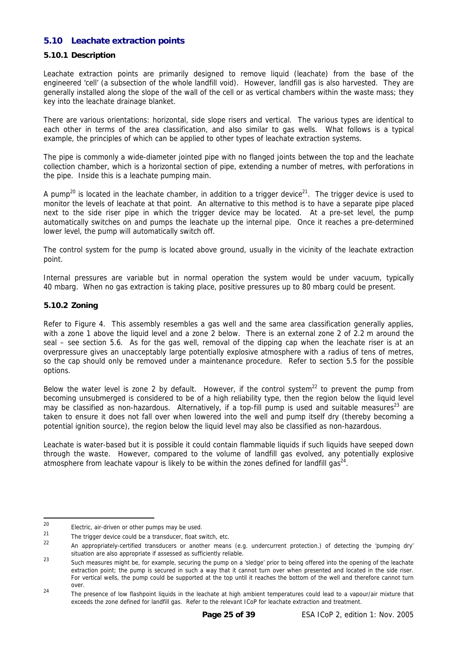#### <span id="page-24-0"></span>**5.10 Leachate extraction points**

#### **5.10.1 Description**

Leachate extraction points are primarily designed to remove liquid (leachate) from the base of the engineered 'cell' (a subsection of the whole landfill void). However, landfill gas is also harvested. They are generally installed along the slope of the wall of the cell or as vertical chambers within the waste mass; they key into the leachate drainage blanket.

There are various orientations: horizontal, side slope risers and vertical. The various types are identical to each other in terms of the area classification, and also similar to gas wells. What follows is a typical example, the principles of which can be applied to other types of leachate extraction systems.

The pipe is commonly a wide-diameter jointed pipe with no flanged joints between the top and the leachate collection chamber, which is a horizontal section of pipe, extending a number of metres, with perforations in the pipe. Inside this is a leachate pumping main.

A pump<sup>20</sup> is located in the leachate chamber, in addition to a trigger device<sup>21</sup>. The trigger device is used to monitor the levels of leachate at that point. An alternative to this method is to have a separate pipe placed next to the side riser pipe in which the trigger device may be located. At a pre-set level, the pump automatically switches on and pumps the leachate up the internal pipe. Once it reaches a pre-determined lower level, the pump will automatically switch off.

The control system for the pump is located above ground, usually in the vicinity of the leachate extraction point.

Internal pressures are variable but in normal operation the system would be under vacuum, typically 40 mbarg. When no gas extraction is taking place, positive pressures up to 80 mbarg could be present.

#### <span id="page-24-6"></span>**5.10.2 Zoning**

Refer to Figure 4. This assembly resembles a gas well and the same area classification generally applies, with a zone 1 above the liquid level and a zone 2 below. There is an external zone 2 of [2.2 m](#page-20-1) around the seal – see section [5.6.](#page-18-3) As for the gas well, removal of the dipping cap when the leachate riser is at an overpressure gives an unacceptably large potentially explosive atmosphere with a radius of tens of metres, so the cap should only be removed under a maintenance procedure. Refer to section [5.5](#page-18-2) for the possible options.

Below the water level is zone 2 by default. However, if the control system<sup>22</sup> to prevent the pump from becoming unsubmerged is considered to be of a high reliability type, then the region below the liquid level may be classified as non-hazardous. Alternatively, if a top-fill pump is used and suitable measures<sup>23</sup> are taken to ensure it does not fall over when lowered into the well and pump itself dry (thereby becoming a potential ignition source), the region below the liquid level may also be classified as non-hazardous.

Leachate is water-based but it is possible it could contain flammable liquids if such liquids have seeped down through the waste. However, compared to the volume of landfill gas evolved, any potentially explosive atmosphere from leachate vapour is likely to be within the zones defined for landfill gas<sup>24</sup>.

<span id="page-24-1"></span><sup>20</sup>  $^{20}$  Electric, air-driven or other pumps may be used.<br>21

<span id="page-24-2"></span> $^{21}$  The trigger device could be a transducer, float switch, etc.

<span id="page-24-3"></span><sup>22</sup> An appropriately-certified transducers or another means (e.g. undercurrent protection.) of detecting the 'pumping dry' situation are also appropriate if assessed as sufficiently reliable.

<span id="page-24-4"></span><sup>23</sup> Such measures might be, for example, securing the pump on a 'sledge' prior to being offered into the opening of the leachate extraction point; the pump is secured in such a way that it cannot turn over when presented and located in the side riser. For vertical wells, the pump could be supported at the top until it reaches the bottom of the well and therefore cannot turn

<span id="page-24-5"></span>over.<br><sup>24</sup> The presence of low flashpoint liquids in the leachate at high ambient temperatures could lead to a vapour/air mixture that exceeds the zone defined for landfill gas. Refer to the relevant ICoP for leachate extraction and treatment.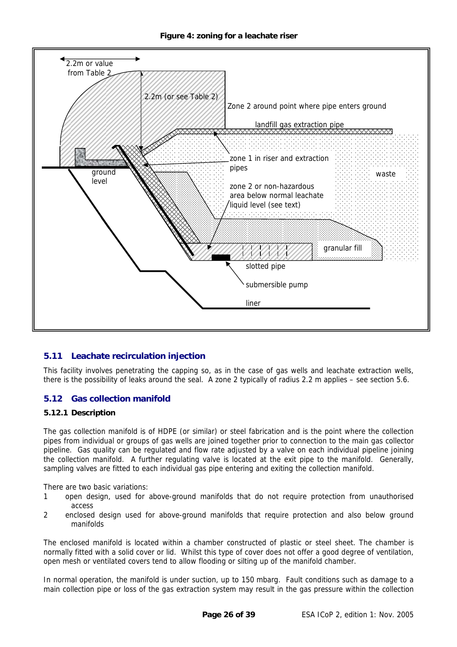<span id="page-25-0"></span>

#### **5.11 Leachate recirculation injection**

This facility involves penetrating the capping so, as in the case of gas wells and leachate extraction wells, there is the possibility of leaks around the seal. A zone 2 typically of radius [2.2 m](#page-20-1) applies – see section [5.6.](#page-18-3)

#### <span id="page-25-1"></span>**5.12 Gas collection manifold**

#### **5.12.1 Description**

The gas collection manifold is of HDPE (or similar) or steel fabrication and is the point where the collection pipes from individual or groups of gas wells are joined together prior to connection to the main gas collector pipeline. Gas quality can be regulated and flow rate adjusted by a valve on each individual pipeline joining the collection manifold. A further regulating valve is located at the exit pipe to the manifold. Generally, sampling valves are fitted to each individual gas pipe entering and exiting the collection manifold.

There are two basic variations:

- 1 open design, used for above-ground manifolds that do not require protection from unauthorised access
- 2 enclosed design used for above-ground manifolds that require protection and also below ground manifolds

The enclosed manifold is located within a chamber constructed of plastic or steel sheet. The chamber is normally fitted with a solid cover or lid. Whilst this type of cover does not offer a good degree of ventilation, open mesh or ventilated covers tend to allow flooding or silting up of the manifold chamber.

In normal operation, the manifold is under suction, up to 150 mbarg. Fault conditions such as damage to a main collection pipe or loss of the gas extraction system may result in the gas pressure within the collection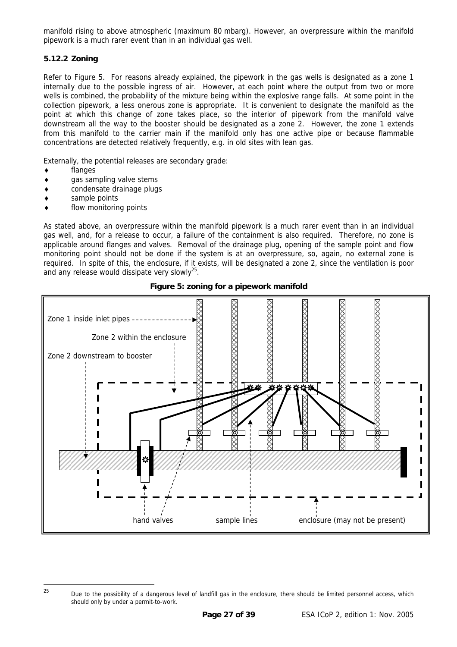<span id="page-26-0"></span>manifold rising to above atmospheric (maximum 80 mbarg). However, an overpressure within the manifold pipework is a much rarer event than in an individual gas well.

#### **5.12.2 Zoning**

Refer to Figure 5. For reasons already explained, the pipework in the gas wells is designated as a zone 1 internally due to the possible ingress of air. However, at each point where the output from two or more wells is combined, the probability of the mixture being within the explosive range falls. At some point in the collection pipework, a less onerous zone is appropriate. It is convenient to designate the manifold as the point at which this change of zone takes place, so the interior of pipework from the manifold valve downstream all the way to the booster should be designated as a zone 2. However, the zone 1 extends from this manifold to the carrier main if the manifold only has one active pipe or because flammable concentrations are detected relatively frequently, e.g. in old sites with lean gas.

Externally, the potential releases are secondary grade:

- flanges
- gas sampling valve stems
- condensate drainage plugs
- sample points
- flow monitoring points

As stated above, an overpressure within the manifold pipework is a much rarer event than in an individual gas well, and, for a release to occur, a failure of the containment is also required. Therefore, no zone is applicable around flanges and valves. Removal of the drainage plug, opening of the sample point and flow monitoring point should not be done if the system is at an overpressure, so, again, no external zone is required. In spite of this, the enclosure, if it exists, will be designated a zone 2, since the ventilation is poor and any release would dissipate very slowly $2^5$ .





<span id="page-26-1"></span><sup>&</sup>lt;sup>25</sup> Due to the possibility of a dangerous level of landfill gas in the enclosure, there should be limited personnel access, which should only by under a permit-to-work.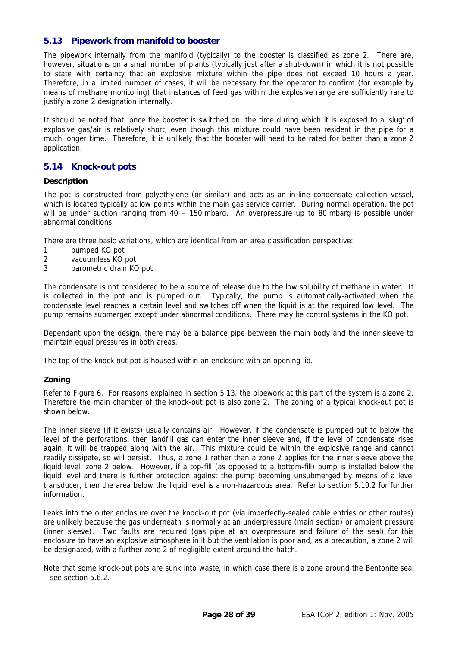#### <span id="page-27-1"></span><span id="page-27-0"></span>**5.13 Pipework from manifold to booster**

The pipework internally from the manifold (typically) to the booster is classified as zone 2. There are, however, situations on a small number of plants (typically just after a shut-down) in which it is not possible to state with certainty that an explosive mixture within the pipe does not exceed 10 hours a year. Therefore, in a limited number of cases, it will be necessary for the operator to confirm (for example by means of methane monitoring) that instances of feed gas within the explosive range are sufficiently rare to justify a zone 2 designation internally.

It should be noted that, once the booster is switched on, the time during which it is exposed to a 'slug' of explosive gas/air is relatively short, even though this mixture could have been resident in the pipe for a much longer time. Therefore, it is unlikely that the booster will need to be rated for better than a zone 2 application.

#### **5.14 Knock-out pots**

#### **Description**

The pot is constructed from polyethylene (or similar) and acts as an in-line condensate collection vessel, which is located typically at low points within the main gas service carrier. During normal operation, the pot will be under suction ranging from 40 – 150 mbarg. An overpressure up to 80 mbarg is possible under abnormal conditions.

There are three basic variations, which are identical from an area classification perspective:

- 1 pumped KO pot
- 2 vacuumless KO pot
- 3 barometric drain KO pot

The condensate is not considered to be a source of release due to the low solubility of methane in water. It is collected in the pot and is pumped out. Typically, the pump is automatically-activated when the condensate level reaches a certain level and switches off when the liquid is at the required low level. The pump remains submerged except under abnormal conditions. There may be control systems in the KO pot.

Dependant upon the design, there may be a balance pipe between the main body and the inner sleeve to maintain equal pressures in both areas.

The top of the knock out pot is housed within an enclosure with an opening lid.

#### **Zoning**

Refer to Figure 6. For reasons explained in section [5.13,](#page-27-1) the pipework at this part of the system is a zone 2. Therefore the main chamber of the knock-out pot is also zone 2. The zoning of a typical knock-out pot is shown below.

The inner sleeve (if it exists) usually contains air. However, if the condensate is pumped out to below the level of the perforations, then landfill gas can enter the inner sleeve and, if the level of condensate rises again, it will be trapped along with the air. This mixture could be within the explosive range and cannot readily dissipate, so will persist. Thus, a zone 1 rather than a zone 2 applies for the inner sleeve above the liquid level, zone 2 below. However, if a top-fill (as opposed to a bottom-fill) pump is installed below the liquid level and there is further protection against the pump becoming unsubmerged by means of a level transducer, then the area below the liquid level is a non-hazardous area. Refer to section [5.10.2](#page-24-6) for further information.

Leaks into the outer enclosure over the knock-out pot (via imperfectly-sealed cable entries or other routes) are unlikely because the gas underneath is normally at an underpressure (main section) or ambient pressure (inner sleeve). Two faults are required (gas pipe at an overpressure and failure of the seal) for this enclosure to have an explosive atmosphere in it but the ventilation is poor and, as a precaution, a zone 2 will be designated, with a further zone 2 of negligible extent around the hatch.

Note that some knock-out pots are sunk into waste, in which case there is a zone around the Bentonite seal – see section [5.6.2.](#page-19-0)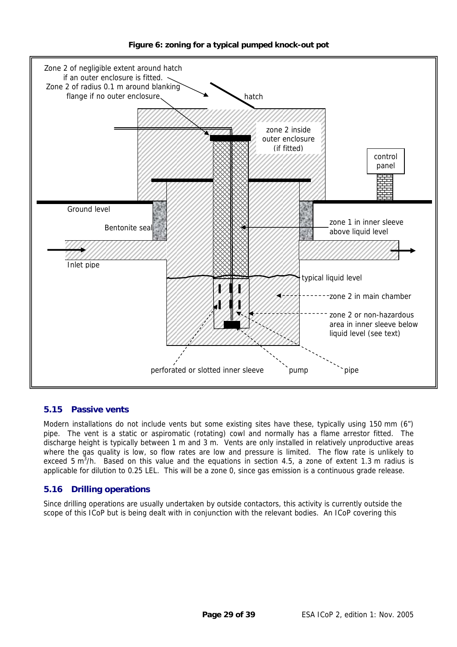<span id="page-28-0"></span>

#### **Figure 6: zoning for a typical pumped knock-out pot**

#### **5.15 Passive vents**

Modern installations do not include vents but some existing sites have these, typically using 150 mm (6") pipe. The vent is a static or aspiromatic (rotating) cowl and normally has a flame arrestor fitted. The discharge height is typically between 1 m and 3 m. Vents are only installed in relatively unproductive areas where the gas quality is low, so flow rates are low and pressure is limited. The flow rate is unlikely to exceed 5 m<sup>3</sup>/h. Based on this value and the equations in section [4.5,](#page-13-1) a zone of extent 1.3 m radius is applicable for dilution to 0.25 LEL. This will be a zone 0, since gas emission is a continuous grade release.

#### **5.16 Drilling operations**

Since drilling operations are usually undertaken by outside contactors, this activity is currently outside the scope of this ICoP but is being dealt with in conjunction with the relevant bodies. An ICoP covering this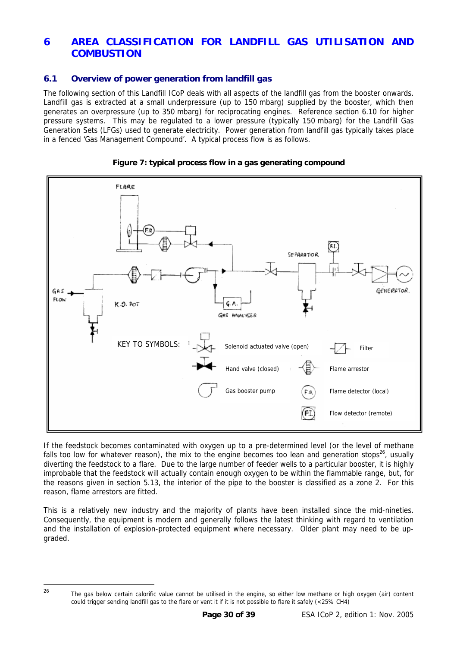#### <span id="page-29-0"></span>**6 AREA CLASSIFICATION FOR LANDFILL GAS UTILISATION AND COMBUSTION**

#### **6.1 Overview of power generation from landfill gas**

The following section of this Landfill ICoP deals with all aspects of the landfill gas from the booster onwards. Landfill gas is extracted at a small underpressure (up to 150 mbarg) supplied by the booster, which then generates an overpressure (up to 350 mbarg) for reciprocating engines. Reference section [6.10](#page-35-1) for higher pressure systems. This may be regulated to a lower pressure (typically 150 mbarg) for the Landfill Gas Generation Sets (LFGs) used to generate electricity. Power generation from landfill gas typically takes place in a fenced 'Gas Management Compound'. A typical process flow is as follows.



#### **Figure 7: typical process flow in a gas generating compound**

If the feedstock becomes contaminated with oxygen up to a pre-determined level (or the level of methane falls too low for whatever reason), the mix to the engine becomes too lean and generation stops<sup>26</sup>, usually diverting the feedstock to a flare. Due to the large number of feeder wells to a particular booster, it is highly improbable that the feedstock will actually contain enough oxygen to be within the flammable range, but, for the reasons given in section [5.13,](#page-27-1) the interior of the pipe to the booster is classified as a zone 2. For this reason, flame arrestors are fitted.

This is a relatively new industry and the majority of plants have been installed since the mid-nineties. Consequently, the equipment is modern and generally follows the latest thinking with regard to ventilation and the installation of explosion-protected equipment where necessary. Older plant may need to be upgraded.

<span id="page-29-1"></span>

<sup>&</sup>lt;sup>26</sup> The gas below certain calorific value cannot be utilised in the engine, so either low methane or high oxygen (air) content could trigger sending landfill gas to the flare or vent it if it is not possible to flare it safely (<25% CH4)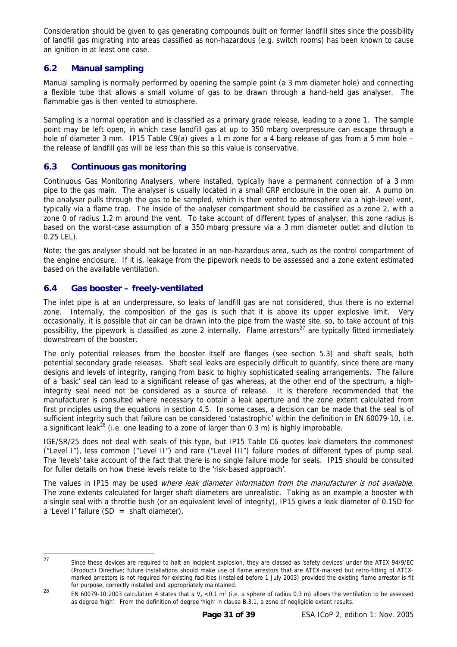<span id="page-30-0"></span>Consideration should be given to gas generating compounds built on former landfill sites since the possibility of landfill gas migrating into areas classified as non-hazardous (e.g. switch rooms) has been known to cause an ignition in at least one case.

#### **6.2 Manual sampling**

Manual sampling is normally performed by opening the sample point (a 3 mm diameter hole) and connecting a flexible tube that allows a small volume of gas to be drawn through a hand-held gas analyser. The flammable gas is then vented to atmosphere.

Sampling is a normal operation and is classified as a primary grade release, leading to a zone 1. The sample point may be left open, in which case landfill gas at up to 350 mbarg overpressure can escape through a hole of diameter 3 mm. IP15 Table C9(a) gives a 1 m zone for a 4 barg release of gas from a 5 mm hole – the release of landfill gas will be less than this so this value is conservative.

#### **6.3 Continuous gas monitoring**

Continuous Gas Monitoring Analysers, where installed, typically have a permanent connection of a 3 mm pipe to the gas main. The analyser is usually located in a small GRP enclosure in the open air. A pump on the analyser pulls through the gas to be sampled, which is then vented to atmosphere via a high-level vent, typically via a flame trap. The inside of the analyser compartment should be classified as a zone 2, with a zone 0 of radius 1.2 m around the vent. To take account of different types of analyser, this zone radius is based on the worst-case assumption of a 350 mbarg pressure via a 3 mm diameter outlet and dilution to 0.25 LEL).

Note: the gas analyser should not be located in an non-hazardous area, such as the control compartment of the engine enclosure. If it is, leakage from the pipework needs to be assessed and a zone extent estimated based on the available ventilation.

#### <span id="page-30-3"></span>**6.4 Gas booster – freely-ventilated**

The inlet pipe is at an underpressure, so leaks of landfill gas are not considered, thus there is no external zone. Internally, the composition of the gas is such that it is above its upper explosive limit. Very occasionally, it is possible that air can be drawn into the pipe from the waste site, so, to take account of this possibility, the pipework is classified as zone 2 internally. Flame arrestors<sup>27</sup> are typically fitted immediately downstream of the booster.

The only potential releases from the booster itself are flanges (see section [5.3\)](#page-17-1) and shaft seals, both potential secondary grade releases. Shaft seal leaks are especially difficult to quantify, since there are many designs and levels of integrity, ranging from basic to highly sophisticated sealing arrangements. The failure of a 'basic' seal can lead to a significant release of gas whereas, at the other end of the spectrum, a highintegrity seal need not be considered as a source of release. It is therefore recommended that the manufacturer is consulted where necessary to obtain a leak aperture and the zone extent calculated from first principles using the equations in section [4.5.](#page-13-1) In some cases, a decision can be made that the seal is of sufficient integrity such that failure can be considered 'catastrophic' within the definition in EN 60079-10, i.e. a significant leak<sup>28</sup> (i.e. one leading to a zone of larger than 0.3 m) is highly improbable.

IGE/SR/25 does not deal with seals of this type, but IP15 Table C6 quotes leak diameters the commonest ("Level I"), less common ("Level II") and rare ("Level III") failure modes of different types of pump seal. The 'levels' take account of the fact that there is no single failure mode for seals. IP15 should be consulted for fuller details on how these levels relate to the 'risk-based approach'.

The values in IP15 may be used where leak diameter information from the manufacturer is not available. The zone extents calculated for larger shaft diameters are unrealistic. Taking as an example a booster with a single seal with a throttle bush (or an equivalent level of integrity), IP15 gives a leak diameter of 0.1SD for a 'Level I' failure  $(SD = \text{shaff diameter})$ .

 $27$ 

<span id="page-30-1"></span><sup>27</sup> Since these devices are required to halt an incipient explosion, they are classed as 'safety devices' under the ATEX 94/9/EC (Product) Directive; future installations should make use of flame arrestors that are ATEX-marked but retro-fitting of ATEXmarked arrestors is not required for existing facilities (installed before 1 July 2003) provided the existing flame arrestor is fit for purpose, correctly installed and appropriately maintained.

<span id="page-30-2"></span><sup>&</sup>lt;sup>28</sup> EN 60079-10:2003 calculation 4 states that a  $V_z < 0.1$  m<sup>3</sup> (i.e. a sphere of radius 0.3 m) allows the ventilation to be assessed as degree 'high'. From the definition of degree 'high' in clause B.3.1, a zone of negligible extent results.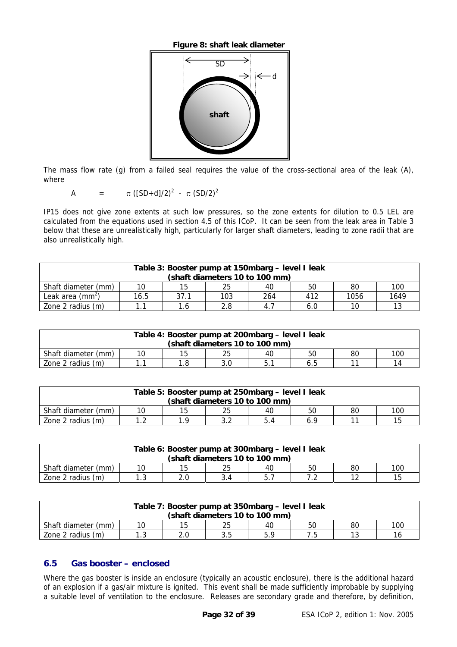**Figure 8: shaft leak diameter** 

<span id="page-31-0"></span>

The mass flow rate (g) from a failed seal requires the value of the cross-sectional area of the leak (A), where

A = 
$$
\pi
$$
 ([SD+d]/2)<sup>2</sup> -  $\pi$  (SD/2)<sup>2</sup>

IP15 does not give zone extents at such low pressures, so the zone extents for dilution to 0.5 LEL are calculated from the equations used in section [4.5](#page-13-1) of this ICoP. It can be seen from the leak area in Table 3 below that these are unrealistically high, particularly for larger shaft diameters, leading to zone radii that are also unrealistically high.

| Table 3: Booster pump at 150mbarg - level I leak<br>(shaft diameters 10 to 100 mm) |                                     |      |     |     |     |      |      |  |
|------------------------------------------------------------------------------------|-------------------------------------|------|-----|-----|-----|------|------|--|
| Shaft diameter (mm)                                                                | 10                                  | 15   | 25  | 40  | 50  | 80   | 100  |  |
| Leak area $(mm^2)$                                                                 | 16.5                                | 37.1 | 103 | 264 | 412 | 1056 | 1649 |  |
| Zone 2 radius (m)                                                                  | 13<br>2.8<br>1.6<br>6.0<br>10<br>4. |      |     |     |     |      |      |  |

| Table 4: Booster pump at 200mbarg - level I leak<br>(shaft diameters 10 to 100 mm) |    |    |    |    |    |    |     |  |
|------------------------------------------------------------------------------------|----|----|----|----|----|----|-----|--|
| Shaft diameter (mm)                                                                | 10 | 15 | 25 | 40 | 50 | 80 | 100 |  |
| Zone 2 radius (m)<br>14<br>1.8<br>3.0<br>6.5                                       |    |    |    |    |    |    |     |  |

| Table 5: Booster pump at 250mbarg – level I leak               |  |  |  |  |  |  |  |
|----------------------------------------------------------------|--|--|--|--|--|--|--|
| (shaft diameters 10 to 100 mm)                                 |  |  |  |  |  |  |  |
| 25<br>Shaft diameter (mm)<br>15<br>100<br>80<br>10<br>50<br>40 |  |  |  |  |  |  |  |
| Zone 2 radius (m)<br>15<br>ົ<br>1 າ<br>1 O<br>5.4<br>6.9       |  |  |  |  |  |  |  |

| Table 6: Booster pump at 300mbarg - level I leak               |  |  |  |  |  |  |  |
|----------------------------------------------------------------|--|--|--|--|--|--|--|
| (shaft diameters 10 to 100 mm)                                 |  |  |  |  |  |  |  |
| Shaft diameter (mm)<br>100<br>25<br>15<br>80<br>10<br>50<br>40 |  |  |  |  |  |  |  |
| Zone 2 radius (m)<br>15<br>າາ<br>2.0<br>. ب                    |  |  |  |  |  |  |  |

| Table 7: Booster pump at 350mbarg – level I leak               |  |  |  |  |  |  |  |  |
|----------------------------------------------------------------|--|--|--|--|--|--|--|--|
| (shaft diameters 10 to 100 mm)                                 |  |  |  |  |  |  |  |  |
| 25<br>100<br>Shaft diameter (mm)<br>15<br>80<br>10<br>50<br>40 |  |  |  |  |  |  |  |  |
| Zone 2 radius (m)<br>12<br>3.5<br>5.9<br>16<br>د…ا             |  |  |  |  |  |  |  |  |

#### **6.5 Gas booster – enclosed**

Where the gas booster is inside an enclosure (typically an acoustic enclosure), there is the additional hazard of an explosion if a gas/air mixture is ignited. This event shall be made sufficiently improbable by supplying a suitable level of ventilation to the enclosure. Releases are secondary grade and therefore, by definition,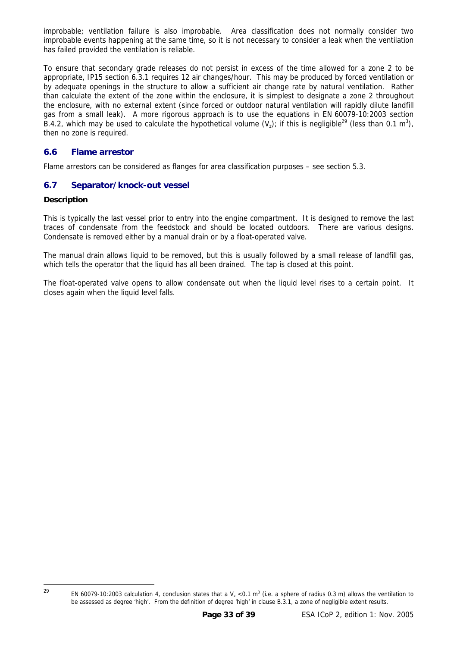<span id="page-32-0"></span>improbable; ventilation failure is also improbable. Area classification does not normally consider two improbable events happening at the same time, so it is not necessary to consider a leak when the ventilation has failed provided the ventilation is reliable.

To ensure that secondary grade releases do not persist in excess of the time allowed for a zone 2 to be appropriate, IP15 section 6.3.1 requires 12 air changes/hour. This may be produced by forced ventilation or by adequate openings in the structure to allow a sufficient air change rate by natural ventilation. Rather than calculate the extent of the zone within the enclosure, it is simplest to designate a zone 2 throughout the enclosure, with no external extent (since forced or outdoor natural ventilation will rapidly dilute landfill gas from a small leak). A more rigorous approach is to use the equations in EN 60079-10:2003 section B.4.2, which may be used to calculate the hypothetical volume  $(V_z)$ ; if this is negligible<sup>29</sup> (less than 0.1 m<sup>3</sup>), then no zone is required.

#### **6.6 Flame arrestor**

Flame arrestors can be considered as flanges for area classification purposes – see section [5.3.](#page-17-1)

#### **6.7 Separator/knock-out vessel**

#### **Description**

This is typically the last vessel prior to entry into the engine compartment. It is designed to remove the last traces of condensate from the feedstock and should be located outdoors. There are various designs. Condensate is removed either by a manual drain or by a float-operated valve.

The manual drain allows liquid to be removed, but this is usually followed by a small release of landfill gas, which tells the operator that the liquid has all been drained. The tap is closed at this point.

The float-operated valve opens to allow condensate out when the liquid level rises to a certain point. It closes again when the liquid level falls.

 $29$ 

<span id="page-32-1"></span><sup>&</sup>lt;sup>29</sup> EN 60079-10:2003 calculation 4, conclusion states that a V<sub>z</sub> <0.1 m<sup>3</sup> (i.e. a sphere of radius 0.3 m) allows the ventilation to be assessed as degree 'high'. From the definition of degree 'high' in clause B.3.1, a zone of negligible extent results.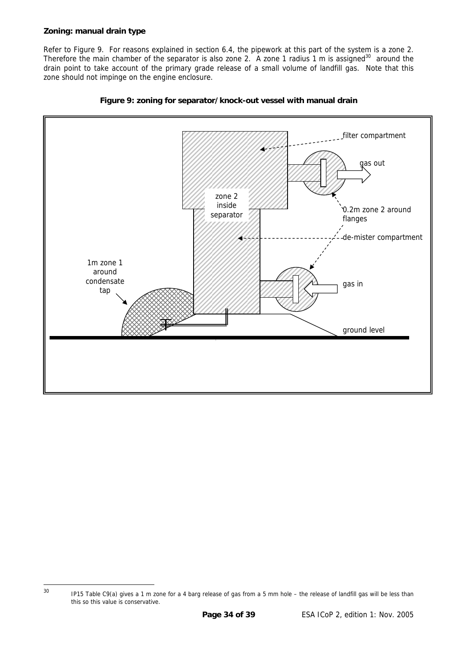#### <span id="page-33-0"></span>**Zoning: manual drain type**

Refer to Figure 9. For reasons explained in section [6.4,](#page-30-3) the pipework at this part of the system is a zone 2. Therefore the main chamber of the separator is also zone 2. A zone 1 radius 1 m is assigned<sup>30</sup> around the drain point to take account of the primary grade release of a small volume of landfill gas. Note that this zone should not impinge on the engine enclosure.





<span id="page-33-1"></span><sup>&</sup>lt;sup>30</sup> IP15 Table C9(a) gives a 1 m zone for a 4 barg release of gas from a 5 mm hole – the release of landfill gas will be less than this so this value is conservative.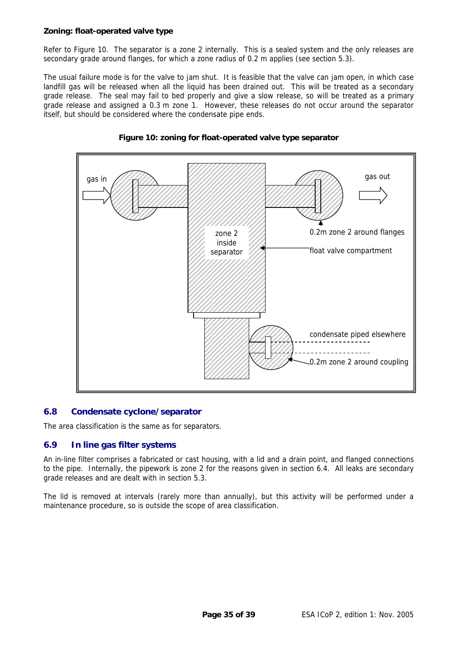#### <span id="page-34-0"></span>**Zoning: float-operated valve type**

Refer to Figure 10. The separator is a zone 2 internally. This is a sealed system and the only releases are secondary grade around flanges, for which a zone radius of 0.2 m applies (see section [5.3\)](#page-17-1).

The usual failure mode is for the valve to jam shut. It is feasible that the valve can jam open, in which case landfill gas will be released when all the liquid has been drained out. This will be treated as a secondary grade release. The seal may fail to bed properly and give a slow release, so will be treated as a primary grade release and assigned a 0.3 m zone 1. However, these releases do not occur around the separator itself, but should be considered where the condensate pipe ends.





#### **6.8 Condensate cyclone/separator**

The area classification is the same as for separators.

#### **6.9 In line gas filter systems**

An in-line filter comprises a fabricated or cast housing, with a lid and a drain point, and flanged connections to the pipe. Internally, the pipework is zone 2 for the reasons given in section [6.4.](#page-30-3) All leaks are secondary grade releases and are dealt with in section [5.3.](#page-17-1)

The lid is removed at intervals (rarely more than annually), but this activity will be performed under a maintenance procedure, so is outside the scope of area classification.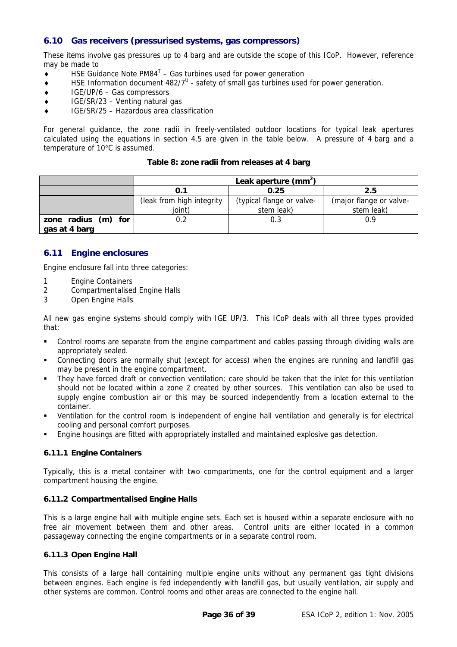#### <span id="page-35-1"></span><span id="page-35-0"></span>**6.10 Gas receivers (pressurised systems, gas compressors)**

These items involve gas pressures up to 4 barg and are outside the scope of this ICoP. However, reference may be made to

- $\bullet$  HSE Guidance Note PM84<sup>[T](#page-38-20)</sup> Gas turbines used for power generation
- $\bullet$  HSE Information document 482/7<sup>[U](#page-38-21)</sup> safety of small gas turbines used for power generation.
- ♦ IGE/UP/6 Gas compressors
- ♦ IGE/SR/23 Venting natural gas
- IGE/SR/25 Hazardous area classification

For general guidance, the zone radii in freely-ventilated outdoor locations for typical leak apertures calculated using the equations in section [4.5](#page-13-1) are given in the table below. A pressure of 4 barg and a temperature of 10°C is assumed.

#### **Table 8: zone radii from releases at 4 barg**

|                                      | Leak aperture $(mm^2)$               |                                         |                                       |  |  |
|--------------------------------------|--------------------------------------|-----------------------------------------|---------------------------------------|--|--|
|                                      | 0.1                                  | 0.25                                    | 2.5                                   |  |  |
|                                      | (leak from high integrity)<br>ioint) | (typical flange or valve-<br>stem leak) | (major flange or valve-<br>stem leak) |  |  |
| zone radius (m) for<br>gas at 4 barg | 0.2                                  | 0.3                                     | በ ዓ                                   |  |  |

#### **6.11 Engine enclosures**

Engine enclosure fall into three categories:

- 1 Engine Containers
- 2 Compartmentalised Engine Halls
- 3 Open Engine Halls

All new gas engine systems should comply with IGE UP/3. This ICoP deals with all three types provided that:

- **Control rooms are separate from the engine compartment and cables passing through dividing walls are** appropriately sealed.
- Connecting doors are normally shut (except for access) when the engines are running and landfill gas may be present in the engine compartment.
- They have forced draft or convection ventilation; care should be taken that the inlet for this ventilation should not be located within a zone 2 created by other sources. This ventilation can also be used to supply engine combustion air or this may be sourced independently from a location external to the container.
- Ventilation for the control room is independent of engine hall ventilation and generally is for electrical cooling and personal comfort purposes.
- **Engine housings are fitted with appropriately installed and maintained explosive gas detection.**

#### **6.11.1 Engine Containers**

Typically, this is a metal container with two compartments, one for the control equipment and a larger compartment housing the engine.

#### **6.11.2 Compartmentalised Engine Halls**

This is a large engine hall with multiple engine sets. Each set is housed within a separate enclosure with no free air movement between them and other areas. Control units are either located in a common passageway connecting the engine compartments or in a separate control room.

#### **6.11.3 Open Engine Hall**

This consists of a large hall containing multiple engine units without any permanent gas tight divisions between engines. Each engine is fed independently with landfill gas, but usually ventilation, air supply and other systems are common. Control rooms and other areas are connected to the engine hall.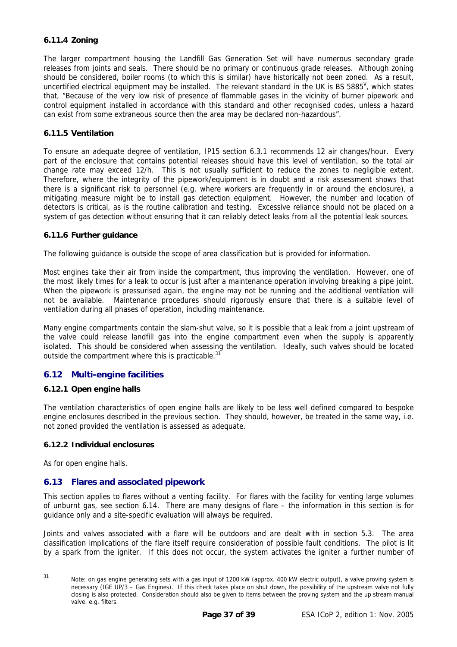#### <span id="page-36-0"></span>**6.11.4 Zoning**

The larger compartment housing the Landfill Gas Generation Set will have numerous secondary grade releases from joints and seals. There should be no primary or continuous grade releases. Although zoning should be considered, boiler rooms (to which this is similar) have historically not been zoned. As a result, uncertified electrical equipment may be installed. The relevant standard in the UK is BS 5885<sup>V</sup>, which states that, "Because of the very low risk of presence of flammable gases in the vicinity of burner pipework and control equipment installed in accordance with this standard and other recognised codes, unless a hazard can exist from some extraneous source then the area may be declared non-hazardous".

#### **6.11.5 Ventilation**

To ensure an adequate degree of ventilation, IP15 section 6.3.1 recommends 12 air changes/hour. Every part of the enclosure that contains potential releases should have this level of ventilation, so the total air change rate may exceed 12/h. This is not usually sufficient to reduce the zones to negligible extent. Therefore, where the integrity of the pipework/equipment is in doubt and a risk assessment shows that there is a significant risk to personnel (e.g. where workers are frequently in or around the enclosure), a mitigating measure might be to install gas detection equipment. However, the number and location of detectors is critical, as is the routine calibration and testing. Excessive reliance should not be placed on a system of gas detection without ensuring that it can reliably detect leaks from all the potential leak sources.

#### **6.11.6 Further guidance**

The following guidance is outside the scope of area classification but is provided for information.

Most engines take their air from inside the compartment, thus improving the ventilation. However, one of the most likely times for a leak to occur is just after a maintenance operation involving breaking a pipe joint. When the pipework is pressurised again, the engine may not be running and the additional ventilation will not be available. Maintenance procedures should rigorously ensure that there is a suitable level of ventilation during all phases of operation, including maintenance.

Many engine compartments contain the slam-shut valve, so it is possible that a leak from a joint upstream of the valve could release landfill gas into the engine compartment even when the supply is apparently isolated. This should be considered when assessing the ventilation. Ideally, such valves should be located outside the compartment where this is practicable.<sup>[31](#page-36-1)</sup>

#### **6.12 Multi-engine facilities**

#### **6.12.1 Open engine halls**

The ventilation characteristics of open engine halls are likely to be less well defined compared to bespoke engine enclosures described in the previous section. They should, however, be treated in the same way, i.e. not zoned provided the ventilation is assessed as adequate.

#### **6.12.2 Individual enclosures**

As for open engine halls.

#### **6.13 Flares and associated pipework**

This section applies to flares without a venting facility. For flares with the facility for venting large volumes of unburnt gas, see section [6.14.](#page-37-1) There are many designs of flare – the information in this section is for guidance only and a site-specific evaluation will always be required.

Joints and valves associated with a flare will be outdoors and are dealt with in section [5.3.](#page-17-1) The area classification implications of the flare itself require consideration of possible fault conditions. The pilot is lit by a spark from the igniter. If this does not occur, the system activates the igniter a further number of

 $31$ 

<span id="page-36-1"></span>Note: on gas engine generating sets with a gas input of 1200 kW (approx. 400 kW electric output), a valve proving system is necessary (IGE UP/3 – Gas Engines). If this check takes place on shut down, the possibility of the upstream valve not fully closing is also protected. Consideration should also be given to items between the proving system and the up stream manual valve. e.g. filters.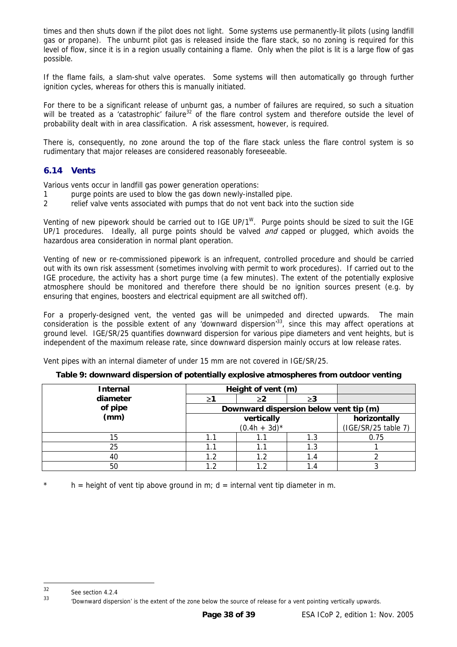<span id="page-37-0"></span>times and then shuts down if the pilot does not light. Some systems use permanently-lit pilots (using landfill gas or propane). The unburnt pilot gas is released inside the flare stack, so no zoning is required for this level of flow, since it is in a region usually containing a flame. Only when the pilot is lit is a large flow of gas possible.

If the flame fails, a slam-shut valve operates. Some systems will then automatically go through further ignition cycles, whereas for others this is manually initiated.

For there to be a significant release of unburnt gas, a number of failures are required, so such a situation will be treated as a 'catastrophic' failure<sup>32</sup> of the flare control system and therefore outside the level of probability dealt with in area classification. A risk assessment, however, is required.

There is, consequently, no zone around the top of the flare stack unless the flare control system is so rudimentary that major releases are considered reasonably foreseeable.

#### <span id="page-37-1"></span>**6.14 Vents**

Various vents occur in landfill gas power generation operations:

- 1 purge points are used to blow the gas down newly-installed pipe.
- 2 relief valve vents associated with pumps that do not vent back into the suction side

Venting of new pipework should be carried out to IGE UP/1<sup>W</sup>. Purge points should be sized to suit the IGE UP/1 procedures. Ideally, all purge points should be valved and capped or plugged, which avoids the hazardous area consideration in normal plant operation.

Venting of new or re-commissioned pipework is an infrequent, controlled procedure and should be carried out with its own risk assessment (sometimes involving with permit to work procedures). If carried out to the IGE procedure, the activity has a short purge time (a few minutes). The extent of the potentially explosive atmosphere should be monitored and therefore there should be no ignition sources present (e.g. by ensuring that engines, boosters and electrical equipment are all switched off).

For a properly-designed vent, the vented gas will be unimpeded and directed upwards. The main consideration is the possible extent of any 'downward dispersion['33,](#page-37-3) since this may affect operations at ground level. IGE/SR/25 quantifies downward dispersion for various pipe diameters and vent heights, but is independent of the maximum release rate, since downward dispersion mainly occurs at low release rates.

Vent pipes with an internal diameter of under 15 mm are not covered in IGE/SR/25.

#### **Table 9: downward dispersion of potentially explosive atmospheres from outdoor venting**

| <b>Internal</b> | Height of vent (m)                     |                 |                     |      |  |
|-----------------|----------------------------------------|-----------------|---------------------|------|--|
| diameter        |                                        |                 | ≥3                  |      |  |
| of pipe         | Downward dispersion below vent tip (m) |                 |                     |      |  |
| (mm)            |                                        | horizontally    |                     |      |  |
|                 |                                        | $(0.4h + 3d)^*$ | (IGE/SR/25 table 7) |      |  |
| 15              | 1.1                                    |                 | 1.3                 | 0.75 |  |
| 25              | 1.1                                    |                 | 1.3                 |      |  |
| 40              | 1.2                                    | 1.2             | 1.4                 |      |  |
| 50              | 1 2                                    | 1 າ             |                     |      |  |

 $h =$  height of vent tip above ground in m; d = internal vent tip diameter in m.

<span id="page-37-2"></span><sup>32</sup> See section 4.2.4

<span id="page-37-3"></span><sup>&</sup>lt;sup>33</sup> 'Downward dispersion' is the extent of the zone below the source of release for a vent pointing vertically upwards.